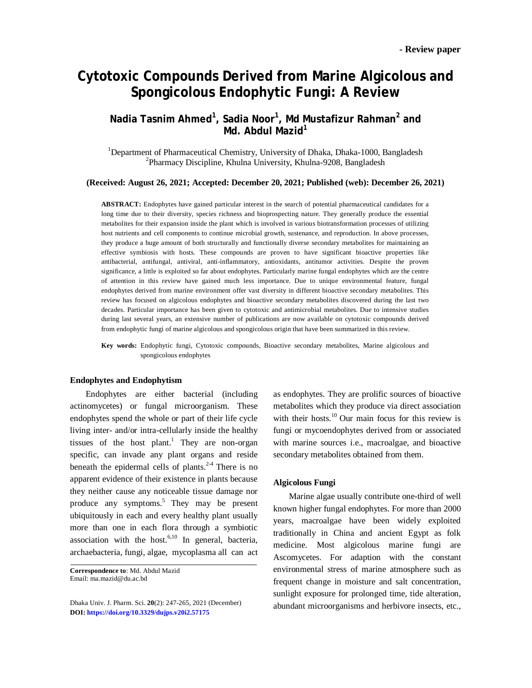# **Cytotoxic Compounds Derived from Marine Algicolous and Spongicolous Endophytic Fungi: A Review**

# **Nadia Tasnim Ahmed<sup>1</sup> , Sadia Noor<sup>1</sup> , Md Mustafizur Rahman<sup>2</sup> and Md. Abdul Mazid<sup>1</sup>**

<sup>1</sup>Department of Pharmaceutical Chemistry, University of Dhaka, Dhaka-1000, Bangladesh 2 Pharmacy Discipline, Khulna University, Khulna-9208, Bangladesh

**(Received: August 26, 2021; Accepted: December 20, 2021; Published (web): December 26, 2021)**

**ABSTRACT:** Endophytes have gained particular interest in the search of potential pharmaceutical candidates for a long time due to their diversity, species richness and bioprospecting nature. They generally produce the essential metabolites for their expansion inside the plant which is involved in various biotransformation processes of utilizing host nutrients and cell components to continue microbial growth, sustenance, and reproduction. In above processes, they produce a huge amount of both structurally and functionally diverse secondary metabolites for maintaining an effective symbiosis with hosts. These compounds are proven to have significant bioactive properties like antibacterial, antifungal, antiviral, anti-inflammatory, antioxidants, antitumor activities. Despite the proven significance, a little is exploited so far about endophytes. Particularly marine fungal endophytes which are the centre of attention in this review have gained much less importance. Due to unique environmental feature, fungal endophytes derived from marine environment offer vast diversity in different bioactive secondary metabolites. This review has focused on algicolous endophytes and bioactive secondary metabolites discovered during the last two decades. Particular importance has been given to cytotoxic and antimicrobial metabolites. Due to intensive studies during last several years, an extensive number of publications are now available on cytotoxic compounds derived from endophytic fungi of marine algicolous and spongicolous origin that have been summarized in this review.

**Key words:** Endophytic fungi, Cytotoxic compounds, Bioactive secondary metabolites, Marine algicolous and spongicolous endophytes

#### **Endophytes and Endophytism**

Endophytes are either bacterial (including actinomycetes) or fungal microorganism. These endophytes spend the whole or part of their life cycle living inter- and/or intra-cellularly inside the healthy tissues of the host plant. <sup>1</sup> They are non-organ specific, can invade any plant organs and reside beneath the epidermal cells of plants. $2-4$  There is no apparent evidence of their existence in plants because they neither cause any noticeable tissue damage nor produce any symptoms.<sup>5</sup> They may be present ubiquitously in each and every healthy plant usually more than one in each flora through a symbiotic association with the host. $6,10$  In general, bacteria, archaebacteria, fungi, algae, mycoplasma all can act

**Correspondence to**: Md. Abdul Mazid Email: [ma.mazid@du.ac.bd](mailto:ma.mazid@du.ac.bd)

Dhaka Univ. J. Pharm. Sci. **20**(2): 247-265, 2021 (December) **DOI:<https://doi.org/10.3329/dujps.v20i2.57175>**

as endophytes. They are prolific sources of bioactive metabolites which they produce via direct association with their hosts. $^{10}$  Our main focus for this review is fungi or mycoendophytes derived from or associated with marine sources i.e., macroalgae, and bioactive secondary metabolites obtained from them.

#### **Algicolous Fungi**

Marine algae usually contribute one-third of well known higher fungal endophytes. For more than 2000 years, macroalgae have been widely exploited traditionally in China and ancient Egypt as folk medicine. Most algicolous marine fungi are Ascomycetes. For adaption with the constant environmental stress of marine atmosphere such as frequent change in moisture and salt concentration, sunlight exposure for prolonged time, tide alteration, abundant microorganisms and herbivore insects, etc.,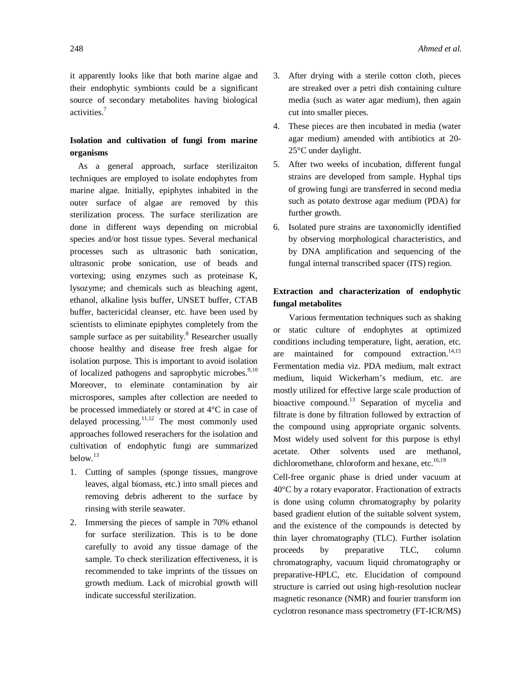it apparently looks like that both marine algae and their endophytic symbionts could be a significant source of secondary metabolites having biological activities. 7

# **Isolation and cultivation of fungi from marine organisms**

As a general approach, surface sterilizaiton techniques are employed to isolate endophytes from marine algae. Initially, epiphytes inhabited in the outer surface of algae are removed by this sterilization process. The surface sterilization are done in different ways depending on microbial species and/or host tissue types. Several mechanical processes such as ultrasonic bath sonication, ultrasonic probe sonication, use of beads and vortexing; using enzymes such as proteinase K, lysozyme; and chemicals such as bleaching agent, ethanol, alkaline lysis buffer, UNSET buffer, CTAB buffer, bactericidal cleanser, etc. have been used by scientists to eliminate epiphytes completely from the sample surface as per suitability. $8$  Researcher usually choose healthy and disease free fresh algae for isolation purpose. This is important to avoid isolation of localized pathogens and saprophytic microbes.<sup>9,10</sup> Moreover, to eleminate contamination by air microspores, samples after collection are needed to be processed immediately or stored at 4°C in case of delayed processing. $11,12$  The most commonly used approaches followed reserachers for the isolation and cultivation of endophytic fungi are summarized below.<sup>13</sup>

- 1. Cutting of samples (sponge tissues, mangrove leaves, algal biomass, etc.) into small pieces and removing debris adherent to the surface by rinsing with sterile seawater.
- 2. Immersing the pieces of sample in 70% ethanol for surface sterilization. This is to be done carefully to avoid any tissue damage of the sample. To check sterilization effectiveness, it is recommended to take imprints of the tissues on growth medium. Lack of microbial growth will indicate successful sterilization.
- 3. After drying with a sterile cotton cloth, pieces are streaked over a petri dish containing culture media (such as water agar medium), then again cut into smaller pieces.
- 4. These pieces are then incubated in media (water agar medium) amended with antibiotics at 20- 25°C under daylight.
- 5. After two weeks of incubation, different fungal strains are developed from sample. Hyphal tips of growing fungi are transferred in second media such as potato dextrose agar medium (PDA) for further growth.
- 6. Isolated pure strains are taxonomiclly identified by observing morphological characteristics, and by DNA amplification and sequencing of the fungal internal transcribed spacer (ITS) region.

# **Extraction and characterization of endophytic fungal metabolites**

Various fermentation techniques such as shaking or static culture of endophytes at optimized conditions including temperature, light, aeration, etc. are maintained for compound extraction. $14,15$ Fermentation media viz. PDA medium, malt extract medium, liquid Wickerham's medium, etc. are mostly utilized for effective large scale production of bioactive compound.<sup>13</sup> Separation of mycelia and filtrate is done by filtration followed by extraction of the compound using appropriate organic solvents. Most widely used solvent for this purpose is ethyl acetate. Other solvents used are methanol, dichloromethane, chloroform and hexane, etc.<sup>16,19</sup>

Cell-free organic phase is dried under vacuum at 40°C by a rotary evaporator. Fractionation of extracts is done using column chromatography by polarity based gradient elution of the suitable solvent system, and the existence of the compounds is detected by thin layer chromatography (TLC). Further isolation proceeds by preparative TLC, column chromatography, vacuum liquid chromatography or preparative-HPLC, etc. Elucidation of compound structure is carried out using high-resolution nuclear magnetic resonance (NMR) and fourier transform ion cyclotron resonance mass spectrometry (FT-ICR/MS)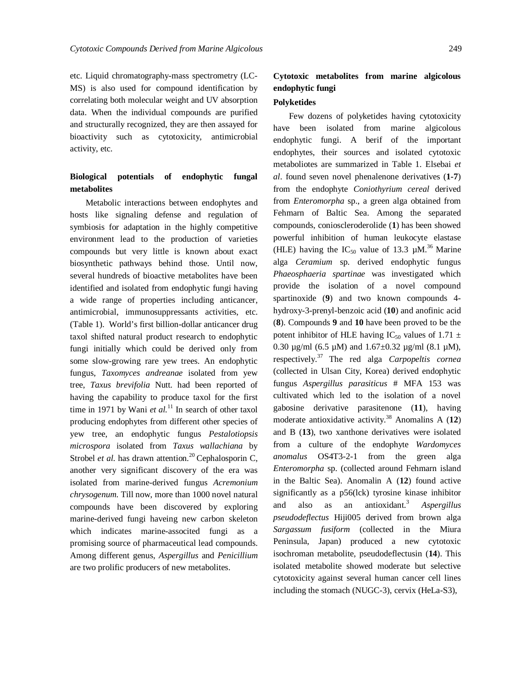etc. Liquid chromatography-mass spectrometry (LC-MS) is also used for compound identification by correlating both molecular weight and UV absorption data. When the individual compounds are purified and structurally recognized, they are then assayed for bioactivity such as cytotoxicity, antimicrobial activity, etc.

### **Biological potentials of endophytic fungal metabolites**

Metabolic interactions between endophytes and hosts like signaling defense and regulation of symbiosis for adaptation in the highly competitive environment lead to the production of varieties compounds but very little is known about exact biosynthetic pathways behind those. Until now, several hundreds of bioactive metabolites have been identified and isolated from endophytic fungi having a wide range of properties including anticancer, antimicrobial, immunosuppressants activities, etc. (Table 1). World's first billion-dollar anticancer drug taxol shifted natural product research to endophytic fungi initially which could be derived only from some slow-growing rare yew trees. An endophytic fungus, *Taxomyces andreanae* isolated from yew tree, *Taxus brevifolia* Nutt. had been reported of having the capability to produce taxol for the first time in 1971 by Wani *et al*.<sup>11</sup> In search of other taxol producing endophytes from different other species of yew tree, an endophytic fungus *Pestalotiopsis microspora* isolated from *Taxus wallachiana* by Strobel *et al.* has drawn attention*.* <sup>20</sup> Cephalosporin C, another very significant discovery of the era was isolated from marine-derived fungus *Acremonium chrysogenum.* Till now, more than 1000 novel natural compounds have been discovered by exploring marine-derived fungi haveing new carbon skeleton which indicates marine-associted fungi as a promising source of pharmaceutical lead compounds. Among different genus, *Aspergillus* and *Penicillium*  are two prolific producers of new metabolites.

# **Cytotoxic metabolites from marine algicolous endophytic fungi**

#### **Polyketides**

Few dozens of polyketides having cytotoxicity have been isolated from marine algicolous endophytic fungi. A berif of the important endophytes, their sources and isolated cytotoxic metaboliotes are summarized in Table 1. Elsebai *et al*. found seven novel phenalenone derivatives (**1-7**) from the endophyte *Coniothyrium cereal* derived from *Enteromorpha* sp., a green alga obtained from Fehmarn of Baltic Sea. Among the separated compounds, conioscleroderolide (**1**) has been showed powerful inhibition of human leukocyte elastase (HLE) having the  $IC_{50}$  value of 13.3 µM.<sup>36</sup> Marine alga *Ceramium* sp. derived endophytic fungus *Phaeosphaeria spartinae* was investigated which provide the isolation of a novel compound spartinoxide (**9**) and two known compounds 4 hydroxy-3-prenyl-benzoic acid (**10**) and anofinic acid (**8**). Compounds **9** and **10** have been proved to be the potent inhibitor of HLE having IC<sub>50</sub> values of 1.71  $\pm$ 0.30  $\mu$ g/ml (6.5  $\mu$ M) and 1.67±0.32  $\mu$ g/ml (8.1  $\mu$ M), respectively. <sup>37</sup> The red alga *Carpopeltis cornea* (collected in Ulsan City, Korea) derived endophytic fungus *Aspergillus parasiticus* # MFA 153 was cultivated which led to the isolation of a novel gabosine derivative parasitenone (**11**), having moderate antioxidative activity. <sup>38</sup> Anomalins A (**12**) and B (**13**), two xanthone derivatives were isolated from a culture of the endophyte *Wardomyces anomalus* OS4T3-2-1 from the green alga *Enteromorpha* sp. (collected around Fehmarn island in the Baltic Sea). Anomalin A (**12**) found active significantly as a p56(lck) tyrosine kinase inhibitor and also as an antioxidant. <sup>3</sup> *Aspergillus pseudodeflectus* Hiji005 derived from brown alga *Sargassum fusiform* (collected in the Miura Peninsula, Japan) produced a new cytotoxic isochroman metabolite, pseudodeflectusin (**14**). This isolated metabolite showed moderate but selective cytotoxicity against several human cancer cell lines including the stomach (NUGC-3), cervix (HeLa-S3),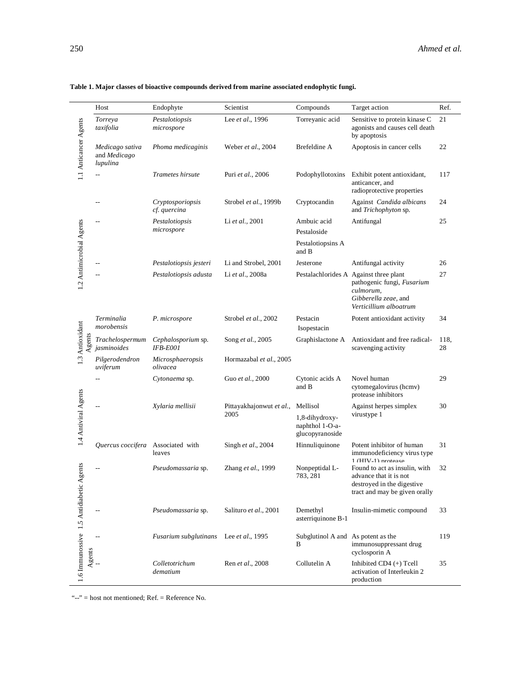|                                  | Host                                               | Endophyte                             | Scientist                         | Compounds                                                        | Target action                                                                                                                                      | Ref.       |
|----------------------------------|----------------------------------------------------|---------------------------------------|-----------------------------------|------------------------------------------------------------------|----------------------------------------------------------------------------------------------------------------------------------------------------|------------|
|                                  | Torreya<br>taxifolia                               | Pestalotiopsis<br>microspore          | Lee et al., 1996                  | Torreyanic acid                                                  | Sensitive to protein kinase C<br>agonists and causes cell death<br>by apoptosis                                                                    | 21         |
| 1.1 Anticancer Agents            | Medicago sativa<br>and <i>Medicago</i><br>lupulina | Phoma medicaginis                     | Weber et al., 2004                | Brefeldine A                                                     | Apoptosis in cancer cells                                                                                                                          | 22         |
|                                  |                                                    | Trametes hirsute                      | Puri et al., 2006                 | Podophyllotoxins                                                 | Exhibit potent antioxidant,<br>anticancer, and<br>radioprotective properties                                                                       | 117        |
|                                  |                                                    | Cryptosporiopsis<br>cf. quercina      | Strobel et al., 1999b             | Cryptocandin                                                     | Against Candida albicans<br>and Trichophyton sp.                                                                                                   | 24         |
| 1.2 Antimicrobial Agents         | Ξ.                                                 | Pestalotiopsis<br>microspore          | Li et al., 2001                   | Ambuic acid<br>Pestaloside                                       | Antifungal                                                                                                                                         | 25         |
|                                  |                                                    |                                       |                                   | Pestalotiopsins A<br>and B                                       |                                                                                                                                                    |            |
|                                  |                                                    | Pestalotiopsis jesteri                | Li and Strobel, 2001              | Jesterone                                                        | Antifungal activity                                                                                                                                | 26         |
|                                  |                                                    | Pestalotiopsis adusta                 | Li et al., 2008a                  |                                                                  | Pestalachlorides A Against three plant<br>pathogenic fungi, Fusarium<br>culmorum,<br>Gibberella zeae, and<br>Verticillium alboatrum                | 27         |
|                                  | Terminalia<br>morobensis                           | P. microspore                         | Strobel et al., 2002              | Pestacin<br>Isopestacin                                          | Potent antioxidant activity                                                                                                                        | 34         |
| 1.3 Antioxidant<br>gents         | Trachelospermum<br>jasminoides                     | Cephalosporium sp.<br><b>IFB-E001</b> | Song et al., 2005                 | Graphislactone A                                                 | Antioxidant and free radical-<br>scavenging activity                                                                                               | 118,<br>28 |
|                                  | Pilgerodendron<br>uviferum                         | Microsphaeropsis<br>olivacea          | Hormazabal et al., 2005           |                                                                  |                                                                                                                                                    |            |
|                                  | $-$                                                | Cytonaema sp.                         | Guo et al., 2000                  | Cytonic acids A<br>and B                                         | Novel human<br>cytomegalovirus (hcmv)<br>protease inhibitors                                                                                       | 29         |
| 1.4 Antiviral Agents             |                                                    | Xylaria mellisii                      | Pittayakhajon wut et al.,<br>2005 | Mellisol<br>1,8-dihydroxy-<br>naphthol 1-O-a-<br>glucopyranoside | Against herpes simplex<br>virustype 1                                                                                                              | 30         |
|                                  | Quercus coccifera Associated with                  | leaves                                | Singh et al., 2004                | Hinnuliquinone                                                   | Potent inhibitor of human<br>immunodeficiency virus type                                                                                           | 31         |
| Agents                           |                                                    | Pseudomassaria sp.                    | Zhang et al., 1999                | Nonpeptidal L-<br>783, 281                                       | $1$ ( $HIV-1$ ) protesse<br>Found to act as insulin, with<br>advance that it is not<br>destroyed in the digestive<br>tract and may be given orally | 32         |
|                                  |                                                    | Pseudomassaria sp.                    | Salituro et al., 2001             | Demethyl<br>asterriquinone B-1                                   | Insulin-mimetic compound                                                                                                                           | 33         |
| 1.6 Immunossive 1.5 Antidiabetic |                                                    | Fusarium subglutinans                 | Lee <i>et al.</i> , 1995          | Subglutinol A and As potent as the<br>B                          | immunosuppressant drug<br>cyclosporin A                                                                                                            | 119        |
| Agents                           |                                                    | Colletotrichum<br>dematium            | Ren et al., 2008                  | Collutelin A                                                     | Inhibited CD4 (+) Tcell<br>activation of Interleukin 2<br>production                                                                               | 35         |

#### **Table 1. Major classes of bioactive compounds derived from marine associated endophytic fungi.**

" $-$ " = host not mentioned; Ref. = Reference No.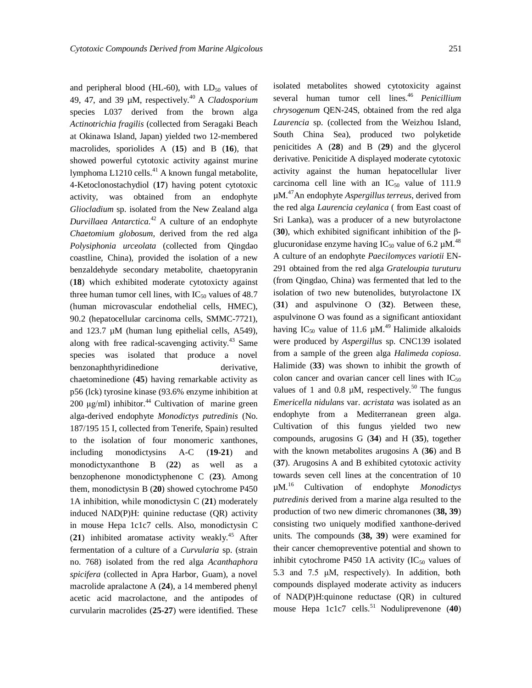and peripheral blood (HL-60), with  $LD_{50}$  values of 49, 47, and 39 µM, respectively.<sup>40</sup> A *Cladosporium* species L037 derived from the brown alga *Actinotrichia fragilis* (collected from Seragaki Beach at Okinawa Island, Japan) yielded two 12-membered macrolides, sporiolides A (**15**) and B (**16**), that showed powerful cytotoxic activity against murine lymphoma L1210 cells.<sup>41</sup> A known fungal metabolite, 4-Ketoclonostachydiol (**17**) having potent cytotoxic activity, was obtained from an endophyte *Gliocladium* sp. isolated from the New Zealand alga *Durvillaea Antarctica*. <sup>42</sup> A culture of an endophyte *Chaetomium globosum,* derived from the red alga *Polysiphonia urceolata* (collected from Qingdao coastline, China), provided the isolation of a new benzaldehyde secondary metabolite, chaetopyranin (**18**) which exhibited moderate cytotoxicty against three human tumor cell lines, with  $IC_{50}$  values of 48.7 (human microvascular endothelial cells, HMEC), 90.2 (hepatocellular carcinoma cells, SMMC-7721), and 123.7 µM (human lung epithelial cells, A549), along with free radical-scavenging activity. <sup>43</sup> Same species was isolated that produce a novel benzonaphthyridinedione derivative, chaetominedione (**45**) having remarkable activity as p56 (lck) tyrosine kinase (93.6% enzyme inhibition at 200  $\mu$ g/ml) inhibitor.<sup>44</sup> Cultivation of marine green alga-derived endophyte *Monodictys putredinis* (No. 187/195 15 I, collected from Tenerife, Spain) resulted to the isolation of four monomeric xanthones, including monodictysins A-C (**19-21**) and monodictyxanthone B (**22**) as well as a benzophenone monodictyphenone C (**23**). Among them, monodictysin B (**20**) showed cytochrome P450 1A inhibition, while monodictysin C (**21**) moderately induced NAD(P)H: quinine reductase (QR) activity in mouse Hepa 1c1c7 cells. Also, monodictysin C (**21**) inhibited aromatase activity weakly. <sup>45</sup> After fermentation of a culture of a *Curvularia* sp. (strain no. 768) isolated from the red alga *Acanthaphora spicifera* (collected in Apra Harbor, Guam), a novel macrolide apralactone A (**24**), a 14 membered phenyl acetic acid macrolactone, and the antipodes of curvularin macrolides (**25-27**) were identified. These

isolated metabolites showed cytotoxicity against several human tumor cell lines.<sup>46</sup> *Penicillium chrysogenum* QEN-24S, obtained from the red alga *Laurencia* sp. (collected from the Weizhou Island, South China Sea), produced two polyketide penicitides A (**28**) and B (**29**) and the glycerol derivative. Penicitide A displayed moderate cytotoxic activity against the human hepatocellular liver carcinoma cell line with an  $IC_{50}$  value of 111.9 µM.<sup>47</sup>An endophyte *Aspergillus terreus*, derived from the red alga *Laurencia ceylanica* ( from East coast of Sri Lanka), was a producer of a new butyrolactone (**30**), which exhibited significant inhibition of the βglucuronidase enzyme having  $IC_{50}$  value of 6.2 µM.<sup>48</sup> A culture of an endophyte *Paecilomyces variotii* EN-291 obtained from the red alga *Grateloupia turuturu* (from Qingdao, China) was fermented that led to the isolation of two new butenolides, butyrolactone IX (**31**) and aspulvinone O (**32**). Between these, aspulvinone O was found as a significant antioxidant having IC<sub>50</sub> value of 11.6  $\mu$ M.<sup>49</sup> Halimide alkaloids were produced by *Aspergillus* sp. CNC139 isolated from a sample of the green alga *Halimeda copiosa*. Halimide (**33**) was shown to inhibit the growth of colon cancer and ovarian cancer cell lines with  $IC_{50}$ values of 1 and 0.8  $\mu$ M, respectively.<sup>50</sup> The fungus *Emericella nidulans* var. *acristata* was isolated as an endophyte from a Mediterranean green alga. Cultivation of this fungus yielded two new compounds, arugosins G (**34**) and H (**35**), together with the known metabolites arugosins A (**36**) and B (**37**). Arugosins A and B exhibited cytotoxic activity towards seven cell lines at the concentration of 10 µM. <sup>16</sup> Cultivation of endophyte *Monodictys putredinis* derived from a marine alga resulted to the production of two new dimeric chromanones (**38, 39**) consisting two uniquely modified xanthone-derived units. The compounds (**38, 39**) were examined for their cancer chemopreventive potential and shown to inhibit cytochrome P450 1A activity  $(IC_{50}$  values of 5.3 and 7.5 μM, respectively). In addition, both compounds displayed moderate activity as inducers of NAD(P)H:quinone reductase (QR) in cultured mouse Hepa 1c1c7 cells. <sup>51</sup> Noduliprevenone (**40**)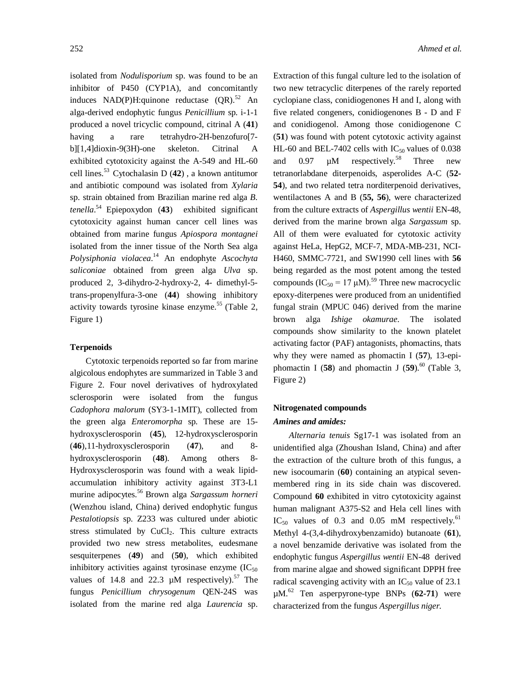isolated from *Nodulisporium* sp. was found to be an inhibitor of P450 (CYP1A), and concomitantly induces NAD(P)H:quinone reductase (QR).<sup>52</sup> An alga-derived endophytic fungus *Penicillium* sp. i-1-1 produced a novel tricyclic compound, citrinal A (**41**) having a rare tetrahydro-2H-benzofuro[7 b][1,4]dioxin-9(3H)-one skeleton. Citrinal A exhibited cytotoxicity against the A-549 and HL-60 cell lines. <sup>53</sup> Cytochalasin D (**42**) , a known antitumor and antibiotic compound was isolated from *Xylaria*  sp. strain obtained from Brazilian marine red alga *B. tenella*. <sup>54</sup> Epiepoxydon (**43**) exhibited significant cytotoxicity against human cancer cell lines was obtained from marine fungus *Apiospora montagnei* isolated from the inner tissue of the North Sea alga *Polysiphonia violacea*. <sup>14</sup> An endophyte *Ascochyta saliconiae* obtained from green alga *Ulva* sp. produced 2, 3-dihydro-2-hydroxy-2, 4- dimethyl-5 trans-propenylfura-3-one (**44**) showing inhibitory activity towards tyrosine kinase enzyme. <sup>55</sup>(Table 2, Figure 1)

#### **Terpenoids**

Cytotoxic terpenoids reported so far from marine algicolous endophytes are summarized in Table 3 and Figure 2. Four novel derivatives of hydroxylated sclerosporin were isolated from the fungus *Cadophora malorum* (SY3-1-1MIT), collected from the green alga *Enteromorpha* sp. These are 15 hydroxysclerosporin (**45**), 12-hydroxysclerosporin (**46**),11-hydroxysclerosporin (**47**), and 8 hydroxysclerosporin (**48**). Among others 8- Hydroxysclerosporin was found with a weak lipidaccumulation inhibitory activity against 3T3-L1 murine adipocytes.<sup>56</sup> Brown alga *Sargassum horneri* (Wenzhou island, China) derived endophytic fungus *Pestalotiopsis* sp. Z233 was cultured under abiotic stress stimulated by  $CuCl<sub>2</sub>$ . This culture extracts provided two new stress metabolites, eudesmane sesquiterpenes (**49**) and (**50**), which exhibited inhibitory activities against tyrosinase enzyme  $(IC_{50})$ values of 14.8 and 22.3  $\mu$ M respectively).<sup>57</sup> The fungus *Penicillium chrysogenum* QEN-24S was isolated from the marine red alga *Laurencia* sp.

Extraction of this fungal culture led to the isolation of two new tetracyclic diterpenes of the rarely reported cyclopiane class, conidiogenones H and I, along with five related congeners, conidiogenones B - D and F and conidiogenol. Among those conidiogenone C (**51**) was found with potent cytotoxic activity against HL-60 and BEL-7402 cells with  $IC_{50}$  values of 0.038 and  $0.97 \mu M$  respectively.<sup>58</sup> Three new tetranorlabdane diterpenoids, asperolides A-C (**52- 54**), and two related tetra norditerpenoid derivatives, wentilactones A and B (**55, 56**), were characterized from the culture extracts of *Aspergillus wentii* EN-48, derived from the marine brown alga *Sargassum* sp. All of them were evaluated for cytotoxic activity against HeLa, HepG2, MCF-7, MDA-MB-231, NCI-H460, SMMC-7721, and SW1990 cell lines with **56** being regarded as the most potent among the tested compounds  $(IC_{50} = 17 \mu M)^{59}$  Three new macrocyclic epoxy-diterpenes were produced from an unidentified fungal strain (MPUC 046) derived from the marine brown alga *Ishige okamurae*. The isolated compounds show similarity to the known platelet activating factor (PAF) antagonists, phomactins, thats why they were named as phomactin I (**57**), 13-epiphomactin I (58) and phomactin J (59). $^{60}$  (Table 3, Figure 2)

# **Nitrogenated compounds** *Amines and amides:*

*Alternaria tenuis* Sg17-1 was isolated from an unidentified alga (Zhoushan Island, China) and after the extraction of the culture broth of this fungus, a new isocoumarin (**60**) containing an atypical sevenmembered ring in its side chain was discovered. Compound **60** exhibited in vitro cytotoxicity against human malignant A375-S2 and Hela cell lines with  $IC_{50}$  values of 0.3 and 0.05 mM respectively.<sup>61</sup> Methyl 4-(3,4-dihydroxybenzamido) butanoate (**61**), a novel benzamide derivative was isolated from the endophytic fungus *Aspergillus wentii* EN-48 derived from marine algae and showed significant DPPH free radical scavenging activity with an  $IC_{50}$  value of 23.1 µM. <sup>62</sup> Ten asperpyrone-type BNPs (**62-71**) were characterized from the fungus *Aspergillus niger.*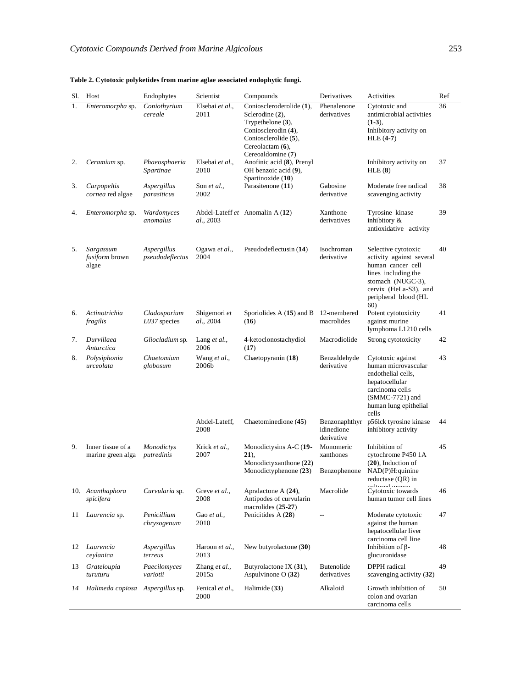| Sl. | Host                                        | Endophytes                     | Scientist                 | Compounds                                                                                                                                                      | Derivatives                               | Activities                                                                                                                                                               | Ref |
|-----|---------------------------------------------|--------------------------------|---------------------------|----------------------------------------------------------------------------------------------------------------------------------------------------------------|-------------------------------------------|--------------------------------------------------------------------------------------------------------------------------------------------------------------------------|-----|
| 1.  | Enteromorpha sp.                            | Coniothyrium<br>cereale        | Elsebai et al.,<br>2011   | Conioscleroderolide (1),<br>Sclerodine (2),<br>Trypethelone $(3)$ ,<br>Coniosclerodin (4),<br>Coniosclerolide (5),<br>Cereolactam $(6)$ ,<br>Cereoaldomine (7) | Phenalenone<br>derivatives                | Cytotoxic and<br>antimicrobial activities<br>$(1-3)$ ,<br>Inhibitory activity on<br>$HLE(4-7)$                                                                           | 36  |
| 2.  | Ceramium sp.                                | Phaeosphaeria<br>Spartinae     | Elsebai et al.,<br>2010   | Anofinic acid (8), Prenyl<br>OH benzoic acid (9),<br>Spartinoxide (10)                                                                                         |                                           | Inhibitory activity on<br>HLE(8)                                                                                                                                         | 37  |
| 3.  | Carpopeltis<br>cornea red algae             | Aspergillus<br>parasiticus     | Son et al.,<br>2002       | Parasitenone (11)                                                                                                                                              | Gabosine<br>derivative                    | Moderate free radical<br>scavenging activity                                                                                                                             | 38  |
| 4.  | Enteromorpha sp.                            | Wardomyces<br>anomalus         | al., 2003                 | Abdel-Lateff et Anomalin A (12)                                                                                                                                | Xanthone<br>derivatives                   | Tyrosine kinase<br>inhibitory &<br>antioxidative activity                                                                                                                | 39  |
| 5.  | Sargassum<br><i>fusiform</i> brown<br>algae | Aspergillus<br>pseudodeflectus | Ogawa et al.,<br>2004     | Pseudodeflectusin (14)                                                                                                                                         | Isochroman<br>derivative                  | Selective cytotoxic<br>activity against several<br>human cancer cell<br>lines including the<br>stomach (NUGC-3),<br>cervix (HeLa-S3), and<br>peripheral blood (HL<br>60) | 40  |
| 6.  | Actinotrichia<br>fragilis                   | Cladosporium<br>L037 species   | Shigemori et<br>al., 2004 | Sporiolides A $(15)$ and B 12-membered<br>(16)                                                                                                                 | macrolides                                | Potent cytotoxicity<br>against murine<br>lymphoma L1210 cells                                                                                                            | 41  |
| 7.  | Durvillaea<br>Antarctica                    | Gliocladium sp.                | Lang $et al.$<br>2006     | 4-ketoclonostachydiol<br>(17)                                                                                                                                  | Macrodiolide                              | Strong cytotoxicity                                                                                                                                                      | 42  |
| 8.  | Polysiphonia<br>urceolata                   | Chaetomium<br>globosum         | Wang et al.,<br>2006b     | Chaetopyranin (18)                                                                                                                                             | Benzaldehyde<br>derivative                | Cytotoxic against<br>human microvascular<br>endothelial cells,<br>hepatocellular<br>carcinoma cells<br>$(SMMC-7721)$ and<br>human lung epithelial<br>cells               | 43  |
|     |                                             |                                | Abdel-Lateff,<br>2008     | Chaetominedione (45)                                                                                                                                           | Benzonaphthyr<br>idinedione<br>derivative | p56lck tyrosine kinase<br>inhibitory activity                                                                                                                            | 44  |
| 9.  | Inner tissue of a<br>marine green alga      | Monodictys<br>putredinis       | Krick et al.,<br>2007     | Monodictysins A-C (19-<br>$21)$ ,<br>Monodictyxanthone (22)                                                                                                    | Monomeric<br>xanthones                    | Inhibition of<br>cytochrome P450 1A<br>$(20)$ , Induction of                                                                                                             | 45  |
|     |                                             |                                |                           | Monodictyphenone (23)                                                                                                                                          | Benzophenone                              | NAD(P)H:quinine<br>reductase (QR) in                                                                                                                                     |     |
|     | 10. Acanthaphora<br>spicifera               | Curvularia sp.                 | Greve et al.,<br>2008     | Apralactone A $(24)$ ,<br>Antipodes of curvularin<br>macrolides $(25-27)$                                                                                      | Macrolide                                 | معتنم به استئنانیه<br>Cytotoxic towards<br>human tumor cell lines                                                                                                        | 46  |
| 11  | Laurencia sp.                               | Penicillium<br>chrysogenum     | Gao et al.,<br>2010       | Penicitides A (28)                                                                                                                                             |                                           | Moderate cytotoxic<br>against the human<br>hepatocellular liver<br>carcinoma cell line                                                                                   | 47  |
| 12  | Laurencia<br>ceylanica                      | Aspergillus<br>terreus         | Haroon et al.,<br>2013    | New butyrolactone (30)                                                                                                                                         |                                           | Inhibition of $\beta$ -<br>glucuronidase                                                                                                                                 | 48  |
| 13  | Grateloupia<br>turuturu                     | Paecilomyces<br>variotii       | Zhang et al.,<br>2015a    | Butyrolactone IX (31),<br>Aspulvinone O (32)                                                                                                                   | <b>Butenolide</b><br>derivatives          | DPPH radical<br>scavenging activity (32)                                                                                                                                 | 49  |
| 14  | Halimeda copiosa                            | Aspergillus sp.                | Fenical et al.,<br>2000   | Halimide (33)                                                                                                                                                  | Alkaloid                                  | Growth inhibition of<br>colon and ovarian<br>carcinoma cells                                                                                                             | 50  |

#### **Table 2. Cytotoxic polyketides from marine aglae associated endophytic fungi.**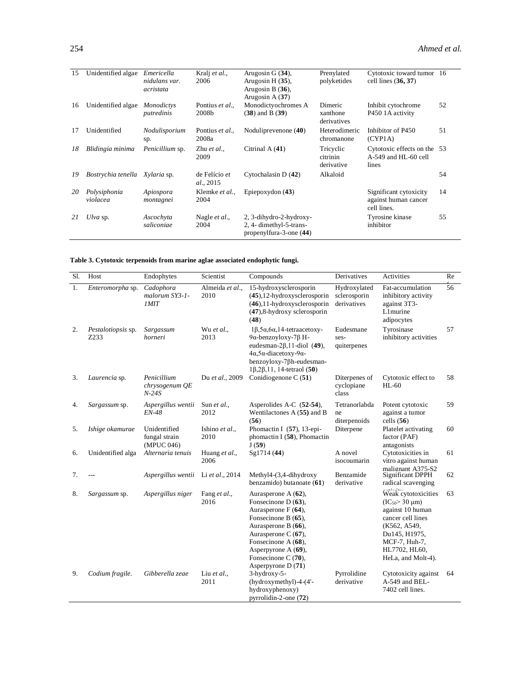| 15 | Unidentified algae       | Emericella<br>nidulans var.<br>acristata | Kralj et al.,<br>2006              | Arugosin G $(34)$ ,<br>Arugosin $H(35)$ ,<br>Arugosin B $(36)$ ,<br>Arugosin A $(37)$ | Prenylated<br>polyketides           | Cytotoxic toward tumor 16<br>cell lines $(36, 37)$             |    |
|----|--------------------------|------------------------------------------|------------------------------------|---------------------------------------------------------------------------------------|-------------------------------------|----------------------------------------------------------------|----|
| 16 | Unidentified algae       | <i>Monodictys</i><br>putredinis          | Pontius et al.,<br>2008b           | Monodictyochromes A<br>$(38)$ and B $(39)$                                            | Dimeric<br>xanthone<br>derivatives  | Inhibit cytochrome<br>P450 1A activity                         | 52 |
| 17 | Unidentified             | Nodulisporium<br>sp.                     | Pontius et al.,<br>2008a           | Noduliprevenone (40)                                                                  | Heterodimeric<br>chromanone         | Inhibitor of P450<br>(CYP1A)                                   | 51 |
| 18 | Blidingia minima         | <i>Penicillium</i> sp.                   | Zhu et al<br>2009                  | Citrinal A $(41)$                                                                     | Tricyclic<br>citrinin<br>derivative | Cytotoxic effects on the 53<br>$A-549$ and HL-60 cell<br>lines |    |
| 19 | Bostrychia tenella       | Xylaria sp.                              | de Felício et<br><i>al.</i> , 2015 | Cytochalasin D $(42)$                                                                 | Alkaloid                            |                                                                | 54 |
| 20 | Polysiphonia<br>violacea | Apiospora<br>montagnei                   | Klemke et al.,<br>2004             | Epiepoxydon $(43)$                                                                    |                                     | Significant cytoxicity<br>against human cancer<br>cell lines.  | 14 |
| 21 | Ulva sp.                 | Ascochyta<br>saliconiae                  | Nagle <i>et al.</i> ,<br>2004      | 2, 3-dihydro-2-hydroxy-<br>$2, 4$ -dimethyl-5-trans-<br>propenylfura-3-one (44)       |                                     | Tyrosine kinase<br>inhibitor                                   | 55 |

| Sl. | Host                       | Endophytes                                  | Scientist               | Compounds                                                                                                                                                                                                                               | Derivatives                                 | Activities                                                                                                                                                                      | Re |
|-----|----------------------------|---------------------------------------------|-------------------------|-----------------------------------------------------------------------------------------------------------------------------------------------------------------------------------------------------------------------------------------|---------------------------------------------|---------------------------------------------------------------------------------------------------------------------------------------------------------------------------------|----|
| 1.  | Enteromorpha sp.           | Cadophora<br>malorum SY3-1-<br><b>IMIT</b>  | Almeida et al.,<br>2010 | 15-hydroxysclerosporin<br>$(45)$ , 12-hydroxysclerosporin<br>$(46)$ , 11-hydroxysclerosporin<br>$(47)$ ,8-hydroxy sclerosporin<br>(48)                                                                                                  | Hydroxylated<br>sclerosporin<br>derivatives | Fat-accumulation<br>inhibitory activity<br>against 3T3-<br>L1murine<br>adipocytes                                                                                               | 56 |
| 2.  | Pestalotiopsis sp.<br>7233 | Sargassum<br>horneri                        | Wu et al.,<br>2013      | $1\beta$ , $5\alpha$ , $6\alpha$ , $14$ -tetraacetoxy-<br>9α-benzoyloxy-7β H-<br>eudesman- $2\beta$ , 11-diol (49),<br>$4\alpha, 5\alpha$ -diacetoxy-9 $\alpha$ -<br>benzoyloxy-7βh-eudesman-<br>$1\beta, 2\beta, 11, 14$ -tetraol (50) | Eudesmane<br>ses-<br>quiterpenes            | Tyrosinase<br>inhibitory activities                                                                                                                                             | 57 |
| 3.  | Laurencia sp.              | Penicillium<br>chrysogenum QE<br>$N-24S$    | Du et al., 2009         | Conidiogenone C $(51)$                                                                                                                                                                                                                  | Diterpenes of<br>cyclopiane<br>class        | Cytotoxic effect to<br>$HL-60$                                                                                                                                                  | 58 |
| 4.  | Sargassum sp.              | Aspergillus wentii<br><i>EN-48</i>          | Sun et al.,<br>2012     | Asperolides A-C (52-54),<br>Wentilactones $A(55)$ and B<br>(56)                                                                                                                                                                         | Tetranorlabda<br>ne<br>diterpenoids         | Potent cytotoxic<br>against a tumor<br>cells $(56)$                                                                                                                             | 59 |
| 5.  | Ishige okamurae            | Unidentified<br>fungal strain<br>(MPUC 046) | Ishino et al.,<br>2010  | Phomactin I $(57)$ , 13-epi-<br>phomactin I $(58)$ , Phomactin<br>J(59)                                                                                                                                                                 | Diterpene                                   | Platelet activating<br>factor (PAF)<br>antagonists                                                                                                                              | 60 |
| 6.  | Unidentified alga          | Alternaria tenuis                           | Huang et al.,<br>2006   | Sg1714 (44)                                                                                                                                                                                                                             | A novel<br>isocoumarin                      | Cytotoxicities in<br>vitro against human<br>malignant A375-S2                                                                                                                   | 61 |
| 7.  |                            | Aspergillus wentii Li et al., 2014          |                         | Methyl4-(3,4-dihydroxy<br>benzamido) butanoate (61)                                                                                                                                                                                     | Benzamide<br>derivative                     | Significant DPPH<br>radical scavenging                                                                                                                                          | 62 |
| 8.  | Sargassum sp.              | Aspergillus niger                           | Fang et al.,<br>2016    | Aurasperone $A(62)$ ,<br>Fonsecinone D (63),<br>Aurasperone $F(64)$ ,<br>Fonsecinone B (65),<br>Aurasperone B (66),<br>Aurasperone C (67),<br>Fonsecinone A (68),<br>Asperpyrone A (69),<br>Fonsecinone C (70),<br>Asperpyrone $D(71)$  |                                             | Weak cytotoxicities<br>$(IC_{50} > 30 \mu m)$<br>against 10 human<br>cancer cell lines<br>(K562, A549,<br>Du145, H1975,<br>MCF-7, Huh-7,<br>HL7702, HL60,<br>HeLa, and Molt-4). | 63 |
| 9.  | Codium fragile.            | Gibberella zeae                             | Liu et al.,<br>2011     | 3-hydroxy-5-<br>(hydroxymethyl)-4-(4'-<br>hydroxyphenoxy)<br>pyrrolidin-2-one (72)                                                                                                                                                      | Pyrrolidine<br>derivative                   | Cytotoxicity against<br>A-549 and BEL-<br>7402 cell lines.                                                                                                                      | 64 |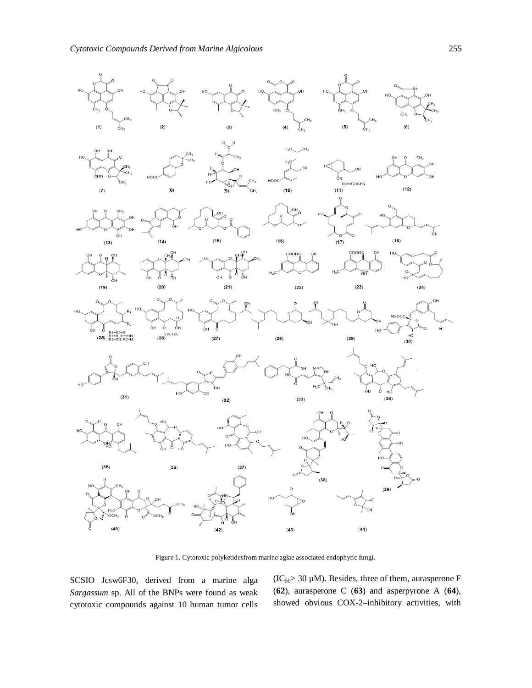

Figure 1. Cytotoxic polyketidesfrom marine aglae associated endophytic fungi.

SCSIO Jcsw6F30, derived from a marine alga *Sargassum* sp. All of the BNPs were found as weak cytotoxic compounds against 10 human tumor cells  $(IC<sub>50</sub> > 30 \mu M)$ . Besides, three of them, aurasperone F (**62**), aurasperone C (**63**) and asperpyrone A (**64**), showed obvious COX-2–inhibitory activities, with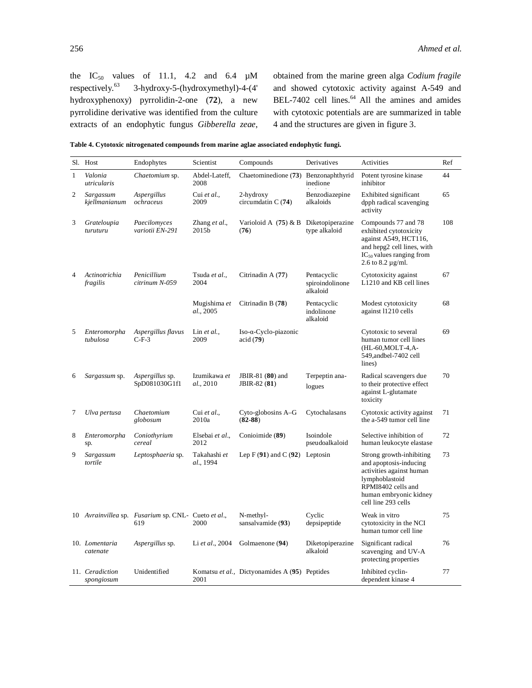the IC<sub>50</sub> values of 11.1, 4.2 and 6.4  $\mu$ M<br>respectively.<sup>63</sup> 3-hydroxy-5-(hydroxymethyl)-4-(4' 3-hydroxy-5-(hydroxymethyl)-4-(4' hydroxyphenoxy) pyrrolidin-2-one (**72**), a new pyrrolidine derivative was identified from the culture extracts of an endophytic fungus *Gibberella zeae*,

obtained from the marine green alga *Codium fragile* and showed cytotoxic activity against A-549 and BEL-7402 cell lines. $<sup>64</sup>$  All the amines and amides</sup> with cytotoxic potentials are are summarized in table 4 and the structures are given in figure 3.

**Table 4. Cytotoxic nitrogenated compounds from marine aglae associated endophytic fungi.**

|                | Sl. Host                      | Endophytes                                                 | Scientist                 | Compounds                                       | Derivatives                                | Activities                                                                                                                                                              | Ref |
|----------------|-------------------------------|------------------------------------------------------------|---------------------------|-------------------------------------------------|--------------------------------------------|-------------------------------------------------------------------------------------------------------------------------------------------------------------------------|-----|
| $\mathbf{1}$   | Valonia<br>utricularis        | Chaetomium sp.                                             | Abdel-Lateff,<br>2008     | Chaetominedione (73)                            | Benzonaphthyrid<br>inedione                | Potent tyrosine kinase<br>inhibitor                                                                                                                                     | 44  |
| $\overline{c}$ | Sargassum<br>kjellmanianum    | Aspergillus<br>ochraceus                                   | Cui et al.,<br>2009       | 2-hydroxy<br>circumdatin $C(74)$                | Benzodiazepine<br>alkaloids                | Exhibited significant<br>dpph radical scavenging<br>activity                                                                                                            | 65  |
| 3              | Grateloupia<br>turuturu       | Paecilomyces<br>variotii EN-291                            | Zhang et al.,<br>2015b    | Varioloid A $(75)$ & B Diketopiperazine<br>(76) | type alkaloid                              | Compounds 77 and 78<br>exhibited cytotoxicity<br>against A549, HCT116,<br>and hepg2 cell lines, with<br>$IC_{50}$ values ranging from<br>2.6 to 8.2 $\mu$ g/ml.         | 108 |
| 4              | Actinotrichia<br>fragilis     | Penicillium<br>citrinum N-059                              | Tsuda et al.,<br>2004     | Citrinadin A (77)                               | Pentacyclic<br>spiroindolinone<br>alkaloid | Cytotoxicity against<br>L1210 and KB cell lines                                                                                                                         | 67  |
|                |                               |                                                            | Mugishima et<br>al., 2005 | Citrinadin B (78)                               | Pentacyclic<br>indolinone<br>alkaloid      | Modest cytotoxicity<br>against 11210 cells                                                                                                                              | 68  |
| 5              | Enteromorpha<br>tubulosa      | Aspergillus flavus<br>$C-F-3$                              | Lin $et$ al.,<br>2009     | Iso-α-Cyclo-piazonic<br>acid (79)               |                                            | Cytotoxic to several<br>human tumor cell lines<br>(HL-60, MOLT-4, A-<br>549, and bel-7402 cell<br>lines)                                                                | 69  |
| 6              | Sargassum sp.                 | Aspergillus sp.<br>SpD081030G1f1                           | Izumikawa et<br>al., 2010 | JBIR-81 (80) and<br>JBIR-82 (81)                | Terpeptin ana-<br>logues                   | Radical scavengers due<br>to their protective effect<br>against L-glutamate<br>toxicity                                                                                 | 70  |
| 7              | Ulva pertusa                  | Chaetomium<br>globosum                                     | Cui et al.,<br>2010a      | Cyto-globosins A–G<br>$(82-88)$                 | Cytochalasans                              | Cytotoxic activity against<br>the a-549 tumor cell line                                                                                                                 | 71  |
| 8              | Enteromorpha<br>sp.           | Coniothyrium<br>cereal                                     | Elsebai et al.,<br>2012   | Conioimide (89)                                 | Isoindole<br>pseudoalkaloid                | Selective inhibition of<br>human leukocyte elastase                                                                                                                     | 72  |
| 9              | Sargassum<br>tortile          | Leptosphaeria sp.                                          | Takahashi et<br>al., 1994 | Lep $F(91)$ and $C(92)$ Leptosin                |                                            | Strong growth-inhibiting<br>and apoptosis-inducing<br>activities against human<br>lymphoblastoid<br>RPMI8402 cells and<br>human embryonic kidney<br>cell line 293 cells | 73  |
|                |                               | 10 Avrainvillea sp. Fusarium sp. CNL- Cueto et al.,<br>619 | 2000                      | N-methyl-<br>sansalvamide (93)                  | Cyclic<br>depsipeptide                     | Weak in vitro<br>cytotoxicity in the NCI<br>human tumor cell line                                                                                                       | 75  |
|                | 10. Lomentaria<br>catenate    | Aspergillus sp.                                            | Li et al., 2004           | Golmaenone (94)                                 | Diketopiperazine<br>alkaloid               | Significant radical<br>scavenging and UV-A<br>protecting properties                                                                                                     | 76  |
|                | 11. Ceradiction<br>spongiosum | Unidentified                                               | 2001                      | Komatsu et al., Dictyonamides A (95) Peptides   |                                            | Inhibited cyclin-<br>dependent kinase 4                                                                                                                                 | 77  |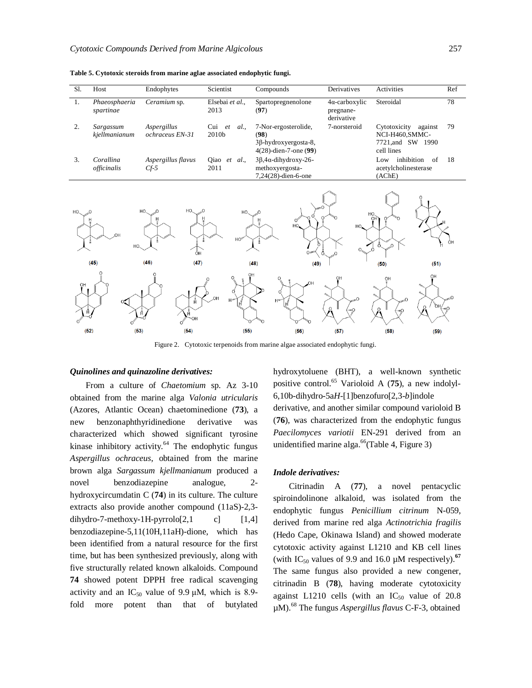| Sl.            | Host                       | Endophytes                     | Scientist                    | Compounds                                                                        | Derivatives                                      | Activities                                                                    | Ref |
|----------------|----------------------------|--------------------------------|------------------------------|----------------------------------------------------------------------------------|--------------------------------------------------|-------------------------------------------------------------------------------|-----|
| 1.             | Phaeosphaeria<br>spartinae | Ceramium sp.                   | Elsebai et al.,<br>2013      | Spartopregnenolone<br>(97)                                                       | $4\alpha$ -carboxylic<br>pregnane-<br>derivative | Steroidal                                                                     | 78  |
| 2.             | Sargassum<br>kjellmanianum | Aspergillus<br>ochraceus EN-31 | $Cui$ $et$<br>al.,<br>2010b  | 7-Nor-ergosterolide,<br>(98)<br>3β-hydroxyergosta-8,<br>$4(28)$ -dien-7-one (99) | 7-norsteroid                                     | Cytotoxicity<br>against<br>NCI-H460, SMMC-<br>7721, and SW 1990<br>cell lines | 79  |
| 3.             | Corallina<br>officinalis   | Aspergillus flavus<br>$Cf-5$   | Qiao <i>et al.</i> ,<br>2011 | $3\beta$ ,4 $\alpha$ -dihydroxy-26-<br>methoxyergosta-<br>7,24(28)-dien-6-one    |                                                  | inhibition<br>of<br>Low<br>acetylcholinesterase<br>(AChE)                     | 18  |
| H <sub>O</sub> | OH<br>HO.                  | HO.<br>HO.<br>óн               | HO<br>HO''                   | $\Omega$<br>HO<br>$\circ$                                                        | HO.<br>HO.                                       |                                                                               | ÒΗ  |
|                | (45)                       | (46)<br>(47)                   |                              | (48)<br>(49)                                                                     |                                                  | (51)<br>(50)                                                                  |     |
| OH             |                            |                                | OH<br>0<br>$\circ$           | HO.                                                                              | OH                                               | OH<br>OH                                                                      |     |

**Table 5. Cytotoxic steroids from marine aglae associated endophytic fungi.**

Figure 2. Cytotoxic terpenoids from marine algae associated endophytic fungi.

 $(55)$ 

#### *Quinolines and quinazoline derivatives:*

 $(53)$ 

 $(54)$ 

 $(52)$ 

From a culture of *Chaetomium* sp. Az 3-10 obtained from the marine alga *Valonia utricularis* (Azores, Atlantic Ocean) chaetominedione (**73**), a new benzonaphthyridinedione derivative was characterized which showed significant tyrosine kinase inhibitory activity.<sup>64</sup> The endophytic fungus *Aspergillus ochraceus*, obtained from the marine brown alga *Sargassum kjellmanianum* produced a novel benzodiazepine analogue, 2 hydroxycircumdatin C (**74**) in its culture. The culture extracts also provide another compound (11aS)-2,3 dihydro-7-methoxy-1H-pyrrolo $[2,1 \text{ c}]$   $[1,4]$ benzodiazepine-5,11(10H,11aH)-dione, which has been identified from a natural resource for the first time, but has been synthesized previously, along with five structurally related known alkaloids. Compound **74** showed potent DPPH free radical scavenging activity and an  $IC_{50}$  value of 9.9  $\mu$ M, which is 8.9fold more potent than that of butylated

hydroxytoluene (BHT), a well-known synthetic positive control.<sup>65</sup> Varioloid A (**75**), a new indolyl-6,10b-dihydro-5a*H*-[1]benzofuro[2,3-*b*]indole derivative, and another similar compound varioloid B (**76**), was characterized from the endophytic fungus *Paecilomyces variotii* EN-291 derived from an unidentified marine alga. <sup>66</sup>(Table 4, Figure 3)

 $(58)$ 

 $(59)$ 

#### *Indole derivatives:*

 $(56)$ 

 $(57)$ 

Citrinadin A (**77**), a novel pentacyclic spiroindolinone alkaloid, was isolated from the endophytic fungus *Penicillium citrinum* N-059, derived from marine red alga *Actinotrichia fragilis* (Hedo Cape, Okinawa Island) and showed moderate cytotoxic activity against L1210 and KB cell lines (with IC<sub>50</sub> values of 9.9 and 16.0  $\mu$ M respectively).<sup>67</sup> The same fungus also provided a new congener, citrinadin B (**78**), having moderate cytotoxicity against L1210 cells (with an  $IC_{50}$  value of 20.8 µM).<sup>68</sup> The fungus *Aspergillus flavus* C-F-3, obtained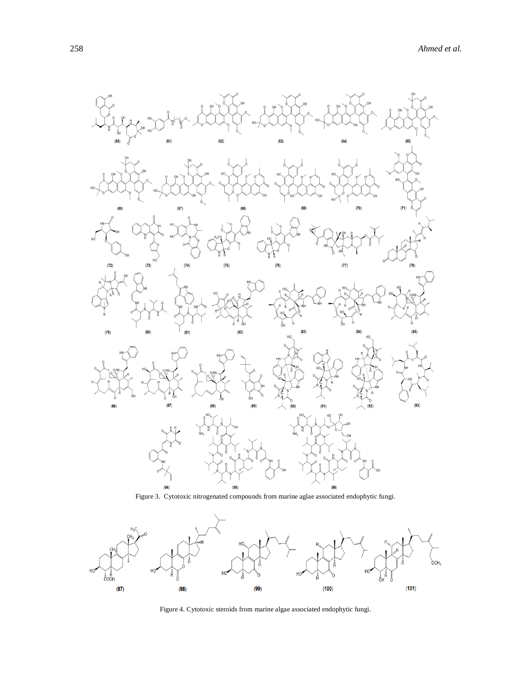

Figure 3. Cytotoxic nitrogenated compounds from marine aglae associated endophytic fungi.



Figure 4. Cytotoxic steroids from marine algae associated endophytic fungi.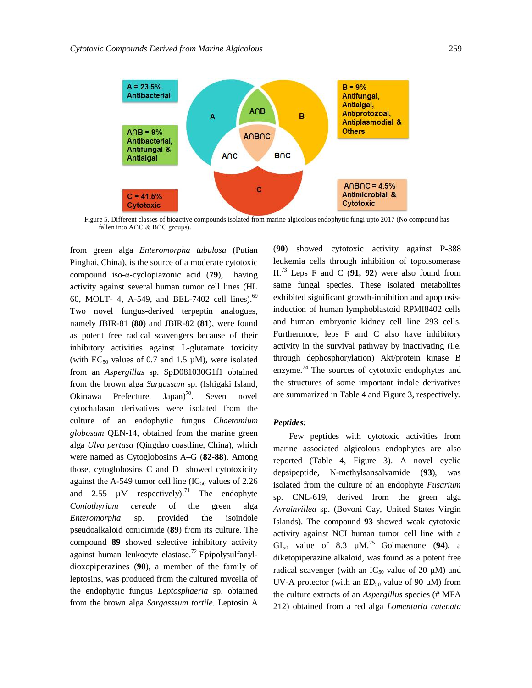

Figure 5. Different classes of bioactive compounds isolated from marine algicolous endophytic fungi upto 2017 (No compound has fallen into A∩C & B∩C groups).

from green alga *Enteromorpha tubulosa* (Putian Pinghai, China), is the source of a moderate cytotoxic compound iso-α-cyclopiazonic acid (**79**), having activity against several human tumor cell lines (HL 60, MOLT- 4, A-549, and BEL-7402 cell lines).<sup>69</sup> Two novel fungus-derived terpeptin analogues, namely JBIR-81 (**80**) and JBIR-82 (**81**), were found as potent free radical scavengers because of their inhibitory activities against L-glutamate toxicity (with  $EC_{50}$  values of 0.7 and 1.5  $\mu$ M), were isolated from an *Aspergillus* sp. SpD081030G1f1 obtained from the brown alga *Sargassum* sp. (Ishigaki Island, Okinawa Prefecture, Japan)<sup>70</sup>. Seven novel cytochalasan derivatives were isolated from the culture of an endophytic fungus *Chaetomium globosum* QEN-14, obtained from the marine green alga *Ulva pertusa* (Qingdao coastline, China), which were named as Cytoglobosins A–G (**82-88**). Among those, cytoglobosins C and D showed cytotoxicity against the A-549 tumor cell line  $(IC_{50}$  values of 2.26 and 2.55  $\mu$ M respectively).<sup>71</sup> The endophyte *Coniothyrium cereale* of the green alga *Enteromorpha* sp. provided the isoindole pseudoalkaloid conioimide (**89**) from its culture. The compound **89** showed selective inhibitory activity against human leukocyte elastase.<sup>72</sup> Epipolysulfanyldioxopiperazines (**90**), a member of the family of leptosins, was produced from the cultured mycelia of the endophytic fungus *Leptosphaeria* sp. obtained from the brown alga *Sargasssum tortile.* Leptosin A

(**90**) showed cytotoxic activity against P-388 leukemia cells through inhibition of topoisomerase II.<sup>73</sup> Leps F and C (**91, 92**) were also found from same fungal species. These isolated metabolites exhibited significant growth-inhibition and apoptosisinduction of human lymphoblastoid RPMI8402 cells and human embryonic kidney cell line 293 cells. Furthermore, leps F and C also have inhibitory activity in the survival pathway by inactivating (i.e. through dephosphorylation) Akt/protein kinase B enzyme.<sup>74</sup> The sources of cytotoxic endophytes and the structures of some important indole derivatives are summarized in Table 4 and Figure 3, respectively.

### *Peptides:*

Few peptides with cytotoxic activities from marine associated algicolous endophytes are also reported (Table 4, Figure 3). A novel cyclic depsipeptide, N-methylsansalvamide (**93**), was isolated from the culture of an endophyte *Fusarium* sp. CNL-619, derived from the green alga *Avrainvillea* sp. (Bovoni Cay, United States Virgin Islands). The compound **93** showed weak cytotoxic activity against NCI human tumor cell line with a GI<sub>50</sub> value of 8.3  $\mu$ M.<sup>75</sup> Golmaenone (94), a diketopiperazine alkaloid, was found as a potent free radical scavenger (with an  $IC_{50}$  value of 20  $\mu$ M) and UV-A protector (with an  $ED_{50}$  value of 90  $\mu$ M) from the culture extracts of an *Aspergillus* species (# MFA 212) obtained from a red alga *Lomentaria catenata*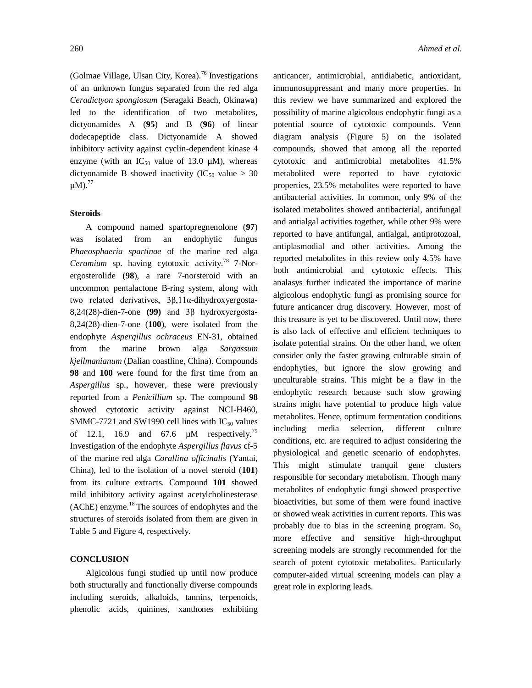(Golmae Village, Ulsan City, Korea). <sup>76</sup> Investigations of an unknown fungus separated from the red alga *Ceradictyon spongiosum* (Seragaki Beach, Okinawa) led to the identification of two metabolites, dictyonamides A (**95**) and B (**96**) of linear dodecapeptide class. Dictyonamide A showed inhibitory activity against cyclin-dependent kinase 4 enzyme (with an  $IC_{50}$  value of 13.0  $\mu$ M), whereas dictyonamide B showed inactivity ( $IC_{50}$  value > 30  $\mu$ M).<sup>77</sup>

#### **Steroids**

A compound named spartopregnenolone (**97**) was isolated from an endophytic fungus *Phaeosphaeria spartinae* of the marine red alga *Ceramium* sp. having cytotoxic activity. <sup>78</sup> 7-Norergosterolide (**98**), a rare 7-norsteroid with an uncommon pentalactone B-ring system, along with two related derivatives, 3β,11α-dihydroxyergosta-8,24(28)-dien-7-one **(99)** and 3β hydroxyergosta-8,24(28)-dien-7-one (**100**), were isolated from the endophyte *Aspergillus ochraceus* EN-31, obtained from the marine brown alga *Sargassum kjellmanianum* (Dalian coastline, China). Compounds **98** and **100** were found for the first time from an *Aspergillus* sp., however, these were previously reported from a *Penicillium* sp. The compound **98** showed cytotoxic activity against NCI-H460, SMMC-7721 and SW1990 cell lines with  $IC_{50}$  values of 12.1, 16.9 and 67.6  $\mu$ M respectively.<sup>79</sup> Investigation of the endophyte *Aspergillus flavus* cf-5 of the marine red alga *Corallina officinalis* (Yantai, China), led to the isolation of a novel steroid (**101**) from its culture extracts. Compound **101** showed mild inhibitory activity against acetylcholinesterase (AChE) enzyme. <sup>18</sup> The sources of endophytes and the structures of steroids isolated from them are given in Table 5 and Figure 4, respectively.

#### **CONCLUSION**

Algicolous fungi studied up until now produce both structurally and functionally diverse compounds including steroids, alkaloids, tannins, terpenoids, phenolic acids, quinines, xanthones exhibiting anticancer, antimicrobial, antidiabetic, antioxidant, immunosuppressant and many more properties. In this review we have summarized and explored the possibility of marine algicolous endophytic fungi as a potential source of cytotoxic compounds. Venn diagram analysis (Figure 5) on the isolated compounds, showed that among all the reported cytotoxic and antimicrobial metabolites 41.5% metabolited were reported to have cytotoxic properties, 23.5% metabolites were reported to have antibacterial activities. In common, only 9% of the isolated metabolites showed antibacterial, antifungal and antialgal activities together, while other 9% were reported to have antifungal, antialgal, antiprotozoal, antiplasmodial and other activities. Among the reported metabolites in this review only 4.5% have both antimicrobial and cytotoxic effects. This analasys further indicated the importance of marine algicolous endophytic fungi as promising source for future anticancer drug discovery. However, most of this treasure is yet to be discovered. Until now, there is also lack of effective and efficient techniques to isolate potential strains. On the other hand, we often consider only the faster growing culturable strain of endophyties, but ignore the slow growing and unculturable strains. This might be a flaw in the endophytic research because such slow growing strains might have potential to produce high value metabolites. Hence, optimum fermentation conditions including media selection, different culture conditions, etc. are required to adjust considering the physiological and genetic scenario of endophytes. This might stimulate tranquil gene clusters responsible for secondary metabolism. Though many metabolites of endophytic fungi showed prospective bioactivities, but some of them were found inactive or showed weak activities in current reports. This was probably due to bias in the screening program. So, more effective and sensitive high-throughput screening models are strongly recommended for the search of potent cytotoxic metabolites. Particularly computer-aided virtual screening models can play a great role in exploring leads.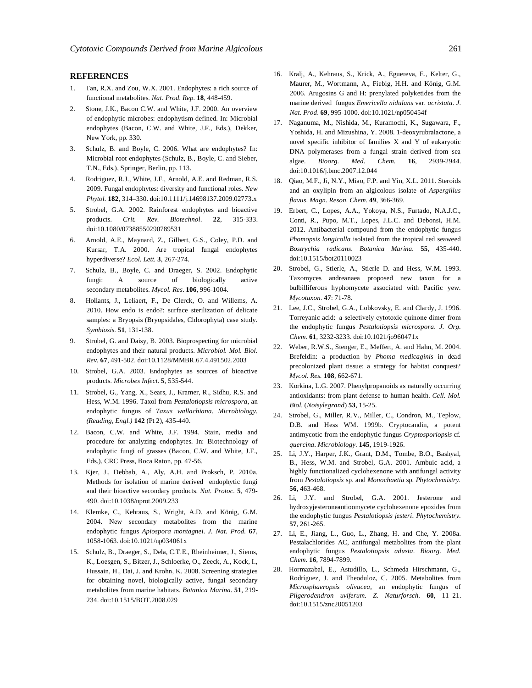#### **REFERENCES**

- 1. Tan, R.X. and Zou, W.X. 2001. Endophytes: a rich source of functional metabolites. *Nat. Prod. Rep.* **18**, 448-459.
- 2. Stone, J.K., Bacon C.W. and White, J.F. 2000. An overview of endophytic microbes: endophytism defined. In: Microbial endophytes (Bacon, C.W. and White, J.F., Eds.), Dekker, New York, pp. 330.
- Schulz, B. and Boyle, C. 2006. What are endophytes? In: Microbial root endophytes (Schulz, B., Boyle, C. and Sieber, T.N., Eds.), Springer, Berlin, pp. 113.
- 4. Rodriguez, R.J., White, J.F., Arnold, A.E. and Redman, R.S. 2009. Fungal endophytes: diversity and functional roles. *New Phytol*. **182**, 314–330. doi:10.1111/j.14698137.2009.02773.x
- 5. Strobel, G.A. 2002. Rainforest endophytes and bioactive products. *Crit. Rev. Biotechnol*. **22**, 315-333. doi:10.1080/07388550290789531
- 6. Arnold, A.E., Maynard, Z., Gilbert, G.S., Coley, P.D. and Kursar, T.A. 2000. Are tropical fungal endophytes hyperdiverse? *Ecol. Lett.* **3**, 267-274.
- 7. Schulz, B., Boyle, C. and Draeger, S. 2002. Endophytic fungi: A source of biologically active secondary metabolites. *Mycol. Res*. **106**, 996-1004.
- 8. Hollants, J., Leliaert, F., De Clerck, O. and Willems, A. 2010. How endo is endo?: surface sterilization of delicate samples: a Bryopsis (Bryopsidales, Chlorophyta) case study. *Symbiosis.* **51**, 131-138.
- 9. Strobel, G. and Daisy, B. 2003. Bioprospecting for microbial endophytes and their natural products. *Microbiol. Mol. Biol. Rev.* **67**, 491-502. doi:10.1128/MMBR.67.4.491502.2003
- 10. Strobel, G.A. 2003. Endophytes as sources of bioactive products. *Microbes Infect*. **5**, 535-544.
- 11. Strobel, G., Yang, X., Sears, J., Kramer, R., Sidhu, R.S. and Hess, W.M. 1996. Taxol from *Pestalotiopsis microspora*, an endophytic fungus of *Taxus wallachiana*. *Microbiology. (Reading, Engl.)* **142** (Pt 2), 435-440.
- 12. Bacon, C.W. and White, J.F. 1994. Stain, media and procedure for analyzing endophytes. In: Biotechnology of endophytic fungi of grasses (Bacon, C.W. and White, J.F., Eds.), CRC Press, Boca Raton, pp. 47-56.
- 13. Kjer, J., Debbab, A., Aly, A.H. and Proksch, P. 2010a. Methods for isolation of marine derived endophytic fungi and their bioactive secondary products. *Nat. Protoc.* **5**, 479- 490. doi:10.1038/nprot.2009.233
- 14. Klemke, C., Kehraus, S., Wright, A.D. and König, G.M. 2004. New secondary metabolites from the marine endophytic fungus *Apiospora montagnei*. *J. Nat. Prod.* **67**, 1058-1063. doi:10.1021/np034061x
- 15. Schulz, B., Draeger, S., Dela, C.T.E., Rheinheimer, J., Siems, K., Loesgen, S., Bitzer, J., Schloerke, O., Zeeck, A., Kock, I., Hussain, H., Dai, J. and Krohn, K. 2008. Screening strategies for obtaining novel, biologically active, fungal secondary metabolites from marine habitats. *Botanica Marina.* **51**, 219- 234. doi:10.1515/BOT.2008.029
- 16. Kralj, A., Kehraus, S., Krick, A., Eguereva, E., Kelter, G., Maurer, M., Wortmann, A., Fiebig, H.H. and König, G.M. 2006. Arugosins G and H: prenylated polyketides from the marine derived fungus *Emericella nidulans* var. *acristata*. *J. Nat. Prod*. **69**, 995-1000. doi:10.1021/np050454f
- 17. Naganuma, M., Nishida, M., Kuramochi, K., Sugawara, F., Yoshida, H. and Mizushina, Y. 2008. 1-deoxyrubralactone, a novel specific inhibitor of families X and Y of eukaryotic DNA polymerases from a fungal strain derived from sea algae. *Bioorg. Med. Chem.* **16**, 2939-2944. doi:10.1016/j.bmc.2007.12.044
- 18. Qiao, M.F., Ji, N.Y., Miao, F.P. and Yin, X.L. 2011. Steroids and an oxylipin from an algicolous isolate of *Aspergillus flavus*. *Magn. Reson. Chem.* **49**, 366-369.
- 19. Erbert, C., Lopes, A.A., Yokoya, N.S., Furtado, N.A.J.C., Conti, R., Pupo, M.T., Lopes, J.L.C. and Debonsi, H.M. 2012. Antibacterial compound from the endophytic fungus *Phomopsis longicolla* isolated from the tropical red seaweed *Bostrychia radicans*. *Botanica Marina.* **55**, 435-440. doi:10.1515/bot20110023
- 20. Strobel, G., Stierle, A., Stierle D. and Hess, W.M. 1993. Taxomyces andreanaea proposed new taxon for a bulbilliferous hyphomycete associated with Pacific yew. *Mycotaxon.* **47**: 71-78.
- 21. Lee, J.C., Strobel, G.A., Lobkovsky, E. and Clardy, J. 1996. Torreyanic acid:  a selectively cytotoxic quinone dimer from the endophytic fungus *Pestalotiopsis microspora*. *J. Org. Chem*. **61**, 3232-3233. doi:10.1021/jo960471x
- 22. Weber, R.W.S., Stenger, E., Meffert, A. and Hahn, M. 2004. Brefeldin: a production by *Phoma medicaginis* in dead precolonized plant tissue: a strategy for habitat conquest? *Mycol. Res.* **108**, 662-671.
- 23. Korkina, L.G. 2007. Phenylpropanoids as naturally occurring antioxidants: from plant defense to human health. *Cell. Mol. Biol*. (*Noisylegrand*) **53**, 15-25.
- 24. Strobel, G., Miller, R.V., Miller, C., Condron, M., Teplow, D.B. and Hess WM. 1999b. Cryptocandin, a potent antimycotic from the endophytic fungus *Cryptosporiopsis* cf*. quercina*. *Microbiology.* **145**, 1919-1926.
- 25. Li, J.Y., Harper, J.K., Grant, D.M., Tombe, B.O., Bashyal, B., Hess, W.M. and Strobel, G.A. 2001. Ambuic acid, a highly functionalized cyclohexenone with antifungal activity from *Pestalotiopsis* sp. and *Monochaetia* sp. *Phytochemistry.* **56**, 463-468.
- 26. Li, J.Y. and Strobel, G.A. 2001. Jesterone and hydroxyjesteroneantioomycete cyclohexenone epoxides from the endophytic fungus *Pestalotiopsis jesteri*. *Phytochemistry.*  **57**, 261-265.
- 27. Li, E., Jiang, L., Guo, L., Zhang, H. and Che, Y. 2008a. Pestalachlorides AC, antifungal metabolites from the plant endophytic fungus *Pestalotiopsis adusta*. *Bioorg. Med. Chem.* **16**, 7894-7899.
- 28. Hormazabal, E., Astudillo, L., Schmeda Hirschmann, G., Rodríguez, J. and Theoduloz, C. 2005. Metabolites from *Microsphaeropsis olivacea*, an endophytic fungus of *Pilgerodendron uviferum. Z. Naturforsch.* **60**, 11–21. doi:10.1515/znc20051203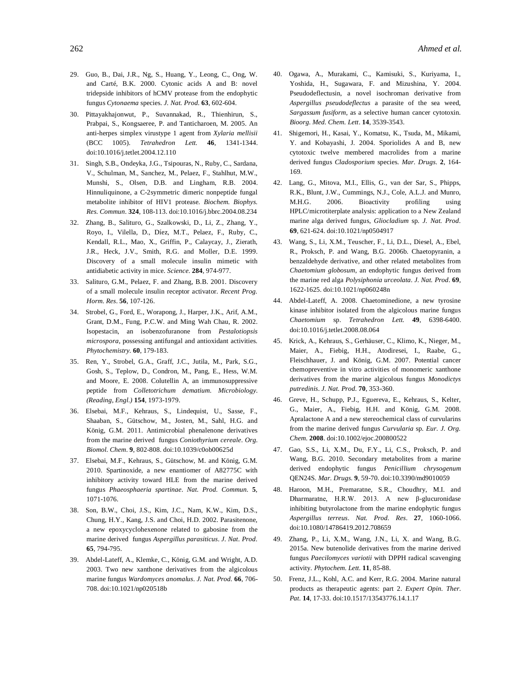- 29. Guo, B., Dai, J.R., Ng, S., Huang, Y., Leong, C., Ong, W. and Carté, B.K. 2000. Cytonic acids A and B: novel tridepside inhibitors of hCMV protease from the endophytic fungus *Cytonaema* species. *J. Nat. Prod.* **63**, 602-604.
- 30. Pittayakhajonwut, P., Suvannakad, R., Thienhirun, S., Prabpai, S., Kongsaeree, P. and Tanticharoen, M. 2005. An anti-herpes simplex virustype 1 agent from *Xylaria mellisii* (BCC 1005). *Tetrahedron Lett.* **46**, 1341-1344. doi:10.1016/j.tetlet.2004.12.110
- 31. Singh, S.B., Ondeyka, J.G., Tsipouras, N., Ruby, C., Sardana, V., Schulman, M., Sanchez, M., Pelaez, F., Stahlhut, M.W., Munshi, S., Olsen, D.B. and Lingham, R.B. 2004. Hinnuliquinone, a C-2symmetric dimeric nonpeptide fungal metabolite inhibitor of HIV1 protease. *Biochem. Biophys. Res. Commun*. **324**, 108-113. doi:10.1016/j.bbrc.2004.08.234
- 32. Zhang, B., Salituro, G., Szalkowski, D., Li, Z., Zhang, Y., Royo, I., Vilella, D., Díez, M.T., Pelaez, F., Ruby, C., Kendall, R.L., Mao, X., Griffin, P., Calaycay, J., Zierath, J.R., Heck, J.V., Smith, R.G. and Moller, D.E. 1999. Discovery of a small molecule insulin mimetic with antidiabetic activity in mice. *Science.* **284**, 974-977.
- 33. Salituro, G.M., Pelaez, F. and Zhang, B.B. 2001. Discovery of a small molecule insulin receptor activator. *Recent Prog. Horm. Res*. **56**, 107-126.
- 34. Strobel, G., Ford, E., Worapong, J., Harper, J.K., Arif, A.M., Grant, D.M., Fung, P.C.W. and Ming Wah Chau, R. 2002. Isopestacin, an isobenzofuranone from *Pestalotiopsis microspora*, possessing antifungal and antioxidant activities. *Phytochemistry.* **60**, 179-183.
- 35. Ren, Y., Strobel, G.A., Graff, J.C., Jutila, M., Park, S.G., Gosh, S., Teplow, D., Condron, M., Pang, E., Hess, W.M. and Moore, E. 2008. Colutellin A, an immunosuppressive peptide from *Colletotrichum dematium*. *Microbiology. (Reading, Engl.)* **154**, 1973-1979.
- 36. Elsebai, M.F., Kehraus, S., Lindequist, U., Sasse, F., Shaaban, S., Gütschow, M., Josten, M., Sahl, H.G. and König, G.M. 2011. Antimicrobial phenalenone derivatives from the marine derived fungus *Coniothyrium cereale*. *Org. Biomol. Chem*. **9**, 802-808. doi:10.1039/c0ob00625d
- 37. Elsebai, M.F., Kehraus, S., Gütschow, M. and König, G.M. 2010. Spartinoxide, a new enantiomer of A82775C with inhibitory activity toward HLE from the marine derived fungus *Phaeosphaeria spartinae*. *Nat. Prod. Commun.* **5**, 1071-1076.
- 38. Son, B.W., Choi, J.S., Kim, J.C., Nam, K.W., Kim, D.S., Chung, H.Y., Kang, J.S. and Choi, H.D. 2002. Parasitenone, a new epoxycyclohexenone related to gabosine from the marine derived fungus *Aspergillus parasiticus*. *J. Nat. Prod*. **65**, 794-795.
- 39. Abdel-Lateff, A., Klemke, C., König, G.M. and Wright, A.D. 2003. Two new xanthone derivatives from the algicolous marine fungus *Wardomyces anomalus*. *J. Nat. Prod.* **66**, 706- 708. doi:10.1021/np020518b
- 40. Ogawa, A., Murakami, C., Kamisuki, S., Kuriyama, I., Yoshida, H., Sugawara, F. and Mizushina, Y. 2004. Pseudodeflectusin, a novel isochroman derivative from *Aspergillus pseudodeflectus* a parasite of the sea weed, *Sargassum fusiform*, as a selective human cancer cytotoxin. *Bioorg. Med. Chem. Lett*. **14**, 3539-3543.
- 41. Shigemori, H., Kasai, Y., Komatsu, K., Tsuda, M., Mikami, Y. and Kobayashi, J. 2004. Sporiolides A and B, new cytotoxic twelve membered macrolides from a marine derived fungus *Cladosporium* species. *Mar. Drugs.* **2**, 164- 169.
- 42. Lang, G., Mitova, M.I., Ellis, G., van der Sar, S., Phipps, R.K., Blunt, J.W., Cummings, N.J., Cole, A.L.J. and Munro, M.H.G. 2006. Bioactivity profiling using HPLC/microtiterplate analysis: application to a New Zealand marine alga derived fungus, *Gliocladium* sp. *J. Nat. Prod*. **69**, 621-624. doi:10.1021/np0504917
- 43. Wang, S., Li, X.M., Teuscher, F., Li, D.L., Diesel, A., Ebel, R., Proksch, P. and Wang, B.G. 2006b. Chaetopyranin, a benzaldehyde derivative, and other related metabolites from *Chaetomium globosum*, an endophytic fungus derived from the marine red alga *Polysiphonia urceolata*. *J. Nat. Prod*. **69**, 1622-1625. doi:10.1021/np060248n
- 44. Abdel-Lateff, A. 2008. Chaetominedione, a new tyrosine kinase inhibitor isolated from the algicolous marine fungus *Chaetomium* sp. *Tetrahedron Lett.* **49**, 6398-6400. doi:10.1016/j.tetlet.2008.08.064
- 45. Krick, A., Kehraus, S., Gerhäuser, C., Klimo, K., Nieger, M., Maier, A., Fiebig, H.H., Atodiresei, I., Raabe, G., Fleischhauer, J. and König, G.M. 2007. Potential cancer chemopreventive in vitro activities of monomeric xanthone derivatives from the marine algicolous fungus *Monodictys putredinis*. *J. Nat. Prod.* **70**, 353-360.
- 46. Greve, H., Schupp, P.J., Eguereva, E., Kehraus, S., Kelter, G., Maier, A., Fiebig, H.H. and König, G.M. 2008. Apralactone A and a new stereochemical class of curvularins from the marine derived fungus *Curvularia* sp. *Eur. J. Org. Chem.* **2008**. doi:10.1002/ejoc.200800522
- 47. Gao, S.S., Li, X.M., Du, F.Y., Li, C.S., Proksch, P. and Wang, B.G. 2010. Secondary metabolites from a marine derived endophytic fungus *Penicillium chrysogenum* QEN24S. *Mar. Drugs.* **9**, 59-70. doi:10.3390/md9010059
- 48. Haroon, M.H., Premaratne, S.R., Choudhry, M.I. and Dharmaratne, H.R.W. 2013. A new β-glucuronidase inhibiting butyrolactone from the marine endophytic fungus *Aspergillus terreus*. *Nat. Prod. Res*. **27**, 1060-1066. doi:10.1080/14786419.2012.708659
- 49. Zhang, P., Li, X.M., Wang, J.N., Li, X. and Wang, B.G. 2015a. New butenolide derivatives from the marine derived fungus *Paecilomyces variotii* with DPPH radical scavenging activity. *Phytochem. Lett.* **11**, 85-88.
- 50. Frenz, J.L., Kohl, A.C. and Kerr, R.G. 2004. Marine natural products as therapeutic agents: part 2. *Expert Opin. Ther. Pat.* **14**, 17-33. doi:10.1517/13543776.14.1.17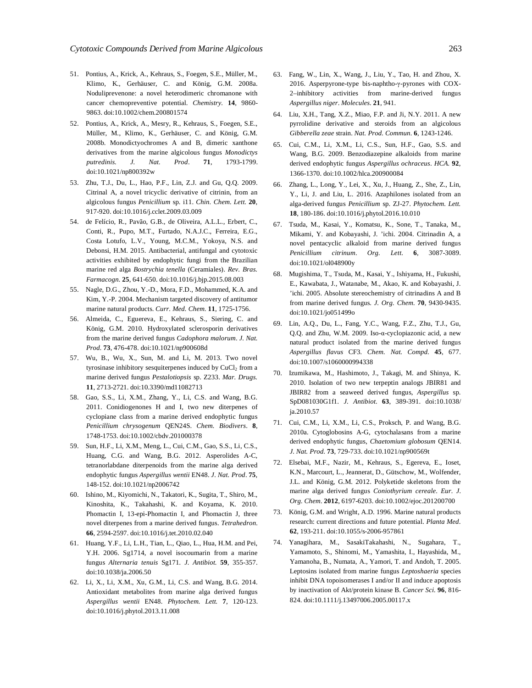- 51. Pontius, A., Krick, A., Kehraus, S., Foegen, S.E., Müller, M., Klimo, K., Gerhäuser, C. and König, G.M. 2008a. Noduliprevenone: a novel heterodimeric chromanone with cancer chemopreventive potential. *Chemistry.* **14**, 9860- 9863. doi:10.1002/chem.200801574
- 52. Pontius, A., Krick, A., Mesry, R., Kehraus, S., Foegen, S.E., Müller, M., Klimo, K., Gerhäuser, C. and König, G.M. 2008b. Monodictyochromes A and B, dimeric xanthone derivatives from the marine algicolous fungus *Monodictys putredinis. J. Nat. Prod*. **71**, 1793-1799. doi:10.1021/np800392w
- 53. Zhu, T.J., Du, L., Hao, P.F., Lin, Z.J. and Gu, Q.Q. 2009. Citrinal A, a novel tricyclic derivative of citrinin, from an algicolous fungus *Penicillium* sp. i11. *Chin. Chem. Lett.* **20**, 917-920. doi:10.1016/j.cclet.2009.03.009
- 54. de Felício, R., Pavão, G.B., de Oliveira, A.L.L., Erbert, C., Conti, R., Pupo, M.T., Furtado, N.A.J.C., Ferreira, E.G., Costa Lotufo, L.V., Young, M.C.M., Yokoya, N.S. and Debonsi, H.M. 2015. Antibacterial, antifungal and cytotoxic activities exhibited by endophytic fungi from the Brazilian marine red alga *Bostrychia tenella* (Ceramiales). *Rev. Bras. Farmacogn.* **25**, 641-650. doi:10.1016/j.bjp.2015.08.003
- 55. Nagle, D.G., Zhou, Y.-D., Mora, F.D., Mohammed, K.A. and Kim, Y.-P. 2004. Mechanism targeted discovery of antitumor marine natural products. *Curr. Med. Chem.* **11**, 1725-1756.
- 56. Almeida, C., Eguereva, E., Kehraus, S., Siering, C. and König, G.M. 2010. Hydroxylated sclerosporin derivatives from the marine derived fungus *Cadophora malorum*. *J. Nat. Prod.* **73**, 476-478. doi:10.1021/np900608d
- 57. Wu, B., Wu, X., Sun, M. and Li, M. 2013. Two novel tyrosinase inhibitory sesquiterpenes induced by  $CuCl<sub>2</sub>$  from a marine derived fungus *Pestalotiopsis* sp. Z233. *Mar. Drugs.*  **11**, 2713-2721. doi:10.3390/md11082713
- 58. Gao, S.S., Li, X.M., Zhang, Y., Li, C.S. and Wang, B.G. 2011. Conidiogenones H and I, two new diterpenes of cyclopiane class from a marine derived endophytic fungus *Penicillium chrysogenum* QEN24S. *Chem. Biodivers*. **8**, 1748-1753. doi:10.1002/cbdv.201000378
- 59. Sun, H.F., Li, X.M., Meng, L., Cui, C.M., Gao, S.S., Li, C.S., Huang, C.G. and Wang, B.G. 2012. Asperolides A-C, tetranorlabdane diterpenoids from the marine alga derived endophytic fungus *Aspergillus wentii* EN48. *J. Nat. Prod*. **75**, 148-152. doi:10.1021/np2006742
- 60. Ishino, M., Kiyomichi, N., Takatori, K., Sugita, T., Shiro, M., Kinoshita, K., Takahashi, K. and Koyama, K. 2010. Phomactin I, 13-epi-Phomactin I, and Phomactin J, three novel diterpenes from a marine derived fungus. *Tetrahedron.*  **66**, 2594-2597. doi:10.1016/j.tet.2010.02.040
- 61. Huang, Y.F., Li, L.H., Tian, L., Qiao, L., Hua, H.M. and Pei, Y.H. 2006. Sg1714, a novel isocoumarin from a marine fungus *Alternaria tenuis* Sg171*. J. Antibiot.* **59**, 355-357. doi:10.1038/ja.2006.50
- 62. Li, X., Li, X.M., Xu, G.M., Li, C.S. and Wang, B.G. 2014. Antioxidant metabolites from marine alga derived fungus *Aspergillus wentii* EN48. *Phytochem. Lett.* **7**, 120-123. doi:10.1016/j.phytol.2013.11.008
- 63. Fang, W., Lin, X., Wang, J., Liu, Y., Tao, H. and Zhou, X. 2016. Asperpyrone-type bis-naphtho-γ-pyrones with COX-2–inhibitory activities from marine-derived fungus *Aspergillus niger*. *Molecules.* **21**, 941.
- 64. Liu, X.H., Tang, X.Z., Miao, F.P. and Ji, N.Y. 2011. A new pyrrolidine derivative and steroids from an algicolous *Gibberella zeae* strain. *Nat. Prod. Commun.* **6**, 1243-1246.
- 65. Cui, C.M., Li, X.M., Li, C.S., Sun, H.F., Gao, S.S. and Wang, B.G. 2009. Benzodiazepine alkaloids from marine derived endophytic fungus *Aspergillus ochraceus*. *HCA.* **92**, 1366-1370. doi:10.1002/hlca.200900084
- 66. Zhang, L., Long, Y., Lei, X., Xu, J., Huang, Z., She, Z., Lin, Y., Li, J. and Liu, L. 2016. Azaphilones isolated from an alga-derived fungus *Penicillium* sp. ZJ-27. *Phytochem. Lett.*  **18**, 180-186. doi:10.1016/j.phytol.2016.10.010
- 67. Tsuda, M., Kasai, Y., Komatsu, K., Sone, T., Tanaka, M., Mikami, Y. and Kobayashi, J. 'ichi. 2004. Citrinadin A, a novel pentacyclic alkaloid from marine derived fungus *Penicillium citrinum*. *Org. Lett*. **6**, 3087-3089. doi:10.1021/ol048900y
- 68. Mugishima, T., Tsuda, M., Kasai, Y., Ishiyama, H., Fukushi, E., Kawabata, J., Watanabe, M., Akao, K. and Kobayashi, J. 'ichi. 2005. Absolute stereochemistry of citrinadins A and B from marine derived fungus. *J. Org. Chem.* **70**, 9430-9435. doi:10.1021/jo051499o
- 69. Lin, A.Q., Du, L., Fang, Y.C., Wang, F.Z., Zhu, T.J., Gu, Q.Q. and Zhu, W.M. 2009. Iso-α-cyclopiazonic acid, a new natural product isolated from the marine derived fungus *Aspergillus flavus* CF3*. Chem. Nat. Compd.* **45**, 677. doi:10.1007/s1060000994338
- 70. Izumikawa, M., Hashimoto, J., Takagi, M. and Shinya, K. 2010. Isolation of two new terpeptin analogs JBIR81 and JBIR82 from a seaweed derived fungus, *Aspergillus* sp. SpD081030G1f1. *J. Antibiot*. **63**, 389-391. doi:10.1038/ ja.2010.57
- 71. Cui, C.M., Li, X.M., Li, C.S., Proksch, P. and Wang, B.G. 2010a. Cytoglobosins A-G, cytochalasans from a marine derived endophytic fungus, *Chaetomium globosum* QEN14. *J. Nat. Prod.* **73**, 729-733. doi:10.1021/np900569t
- 72. Elsebai, M.F., Nazir, M., Kehraus, S., Egereva, E., Ioset, K.N., Marcourt, L., Jeannerat, D., Gütschow, M., Wolfender, J.L. and König, G.M. 2012. Polyketide skeletons from the marine alga derived fungus *Coniothyrium cereale*. *Eur. J. Org. Chem*. **2012**, 6197-6203. doi:10.1002/ejoc.201200700
- 73. König, G.M. and Wright, A.D. 1996. Marine natural products research: current directions and future potential. *Planta Med*. **62**, 193-211. doi:10.1055/s-2006-957861
- 74. Yanagihara, M., SasakiTakahashi, N., Sugahara, T., Yamamoto, S., Shinomi, M., Yamashita, I., Hayashida, M., Yamanoha, B., Numata, A., Yamori, T. and Andoh, T. 2005. Leptosins isolated from marine fungus *Leptoshaeria* species inhibit DNA topoisomerases I and/or II and induce apoptosis by inactivation of Akt/protein kinase B. *Cancer Sci.* **96**, 816- 824. doi:10.1111/j.13497006.2005.00117.x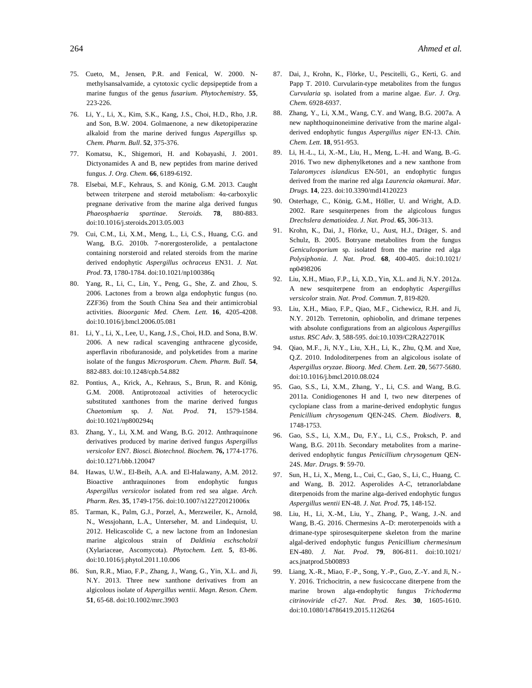- 75. Cueto, M., Jensen, P.R. and Fenical, W. 2000. Nmethylsansalvamide, a cytotoxic cyclic depsipeptide from a marine fungus of the genus *fusarium*. *Phytochemistry*. **55**, 223-226.
- 76. Li, Y., Li, X., Kim, S.K., Kang, J.S., Choi, H.D., Rho, J.R. and Son, B.W. 2004. Golmaenone, a new diketopiperazine alkaloid from the marine derived fungus *Aspergillus* sp. *Chem. Pharm. Bull*. **52**, 375-376.
- 77. Komatsu, K., Shigemori, H. and Kobayashi, J. 2001. Dictyonamides A and B, new peptides from marine derived fungus. *J. Org. Chem*. **66**, 6189-6192.
- 78. Elsebai, M.F., Kehraus, S. and König, G.M. 2013. Caught between triterpene and steroid metabolism: 4α-carboxylic pregnane derivative from the marine alga derived fungus *Phaeosphaeria spartinae*. *Steroids.* **78**, 880-883. doi:10.1016/j.steroids.2013.05.003
- 79. Cui, C.M., Li, X.M., Meng, L., Li, C.S., Huang, C.G. and Wang, B.G. 2010b. 7-norergosterolide, a pentalactone containing norsteroid and related steroids from the marine derived endophytic *Aspergillus ochraceus* EN31. *J. Nat. Prod*. **73**, 1780-1784. doi:10.1021/np100386q
- 80. Yang, R., Li, C., Lin, Y., Peng, G., She, Z. and Zhou, S. 2006. Lactones from a brown alga endophytic fungus (no. ZZF36) from the South China Sea and their antimicrobial activities. *Bioorganic Med. Chem. Lett.* **16**, 4205-4208. doi:10.1016/j.bmcl.2006.05.081
- 81. Li, Y., Li, X., Lee, U., Kang, J.S., Choi, H.D. and Sona, B.W. 2006. A new radical scavenging anthracene glycoside, asperflavin ribofuranoside, and polyketides from a marine isolate of the fungus *Microsporum*. *Chem. Pharm. Bull.* **54**, 882-883. doi:10.1248/cpb.54.882
- 82. Pontius, A., Krick, A., Kehraus, S., Brun, R. and König, G.M. 2008. Antiprotozoal activities of heterocyclic substituted xanthones from the marine derived fungus *Chaetomium* sp. *J. Nat. Prod*. **71**, 1579-1584. doi:10.1021/np800294q
- 83. Zhang, Y., Li, X.M. and Wang, B.G. 2012. Anthraquinone derivatives produced by marine derived fungus *Aspergillus versicolor* EN7*. Biosci. Biotechnol. Biochem.* **76,** 1774-1776. doi:10.1271/bbb.120047
- 84. Hawas, U.W., El-Beih, A.A. and El-Halawany, A.M. 2012. Bioactive anthraquinones from endophytic fungus *Aspergillus versicolor* isolated from red sea algae. *Arch. Pharm. Res.* **35**, 1749-1756. doi:10.1007/s122720121006x
- 85. Tarman, K., Palm, G.J., Porzel, A., Merzweiler, K., Arnold, N., Wessjohann, L.A., Unterseher, M. and Lindequist, U. 2012. Helicascolide C, a new lactone from an Indonesian marine algicolous strain of *Daldinia eschscholzii* (Xylariaceae, Ascomycota). *Phytochem. Lett.* **5**, 83-86. doi:10.1016/j.phytol.2011.10.006
- 86. Sun, R.R., Miao, F.P., Zhang, J., Wang, G., Yin, X.L. and Ji, N.Y. 2013. Three new xanthone derivatives from an algicolous isolate of *Aspergillus wentii*. *Magn. Reson. Chem*. **51**, 65-68. doi:10.1002/mrc.3903
- 87. Dai, J., Krohn, K., Flörke, U., Pescitelli, G., Kerti, G. and Papp T. 2010. Curvularin-type metabolites from the fungus *Curvularia* sp. isolated from a marine algae. *Eur. J. Org. Chem.* 6928-6937.
- 88. Zhang, Y., Li, X.M., Wang, C.Y. and Wang, B.G. 2007a. A new naphthoquinoneimine derivative from the marine algalderived endophytic fungus *Aspergillus niger* EN-13. *Chin. Chem. Lett.* **18**, 951-953.
- 89. Li, H.-L., Li, X.-M., Liu, H., Meng, L.-H. and Wang, B.-G. 2016. Two new diphenylketones and a new xanthone from *Talaromyces islandicus* EN-501, an endophytic fungus derived from the marine red alga *Laurencia okamurai*. *Mar. Drugs.* **14**, 223. doi:10.3390/md14120223
- 90. Osterhage, C., König, G.M., Höller, U. and Wright, A.D. 2002. Rare sesquiterpenes from the algicolous fungus *Drechslera dematioidea. J. Nat. Prod*. **65**, 306-313.
- 91. Krohn, K., Dai, J., Flörke, U., Aust, H.J., Dräger, S. and Schulz, B. 2005. Botryane metabolites from the fungus *Geniculosporium* sp. isolated from the marine red alga *Polysiphonia*. *J. Nat. Prod.* **68**, 400-405. doi:10.1021/ np0498206
- 92. Liu, X.H., Miao, F.P., Li, X.D., Yin, X.L. and Ji, N.Y. 2012a. A new sesquiterpene from an endophytic *Aspergillus versicolor* strain. *Nat. Prod. Commun.* **7**, 819-820.
- 93. Liu, X.H., Miao, F.P., Qiao, M.F., Cichewicz, R.H. and Ji, N.Y. 2012b. Terretonin, ophiobolin, and drimane terpenes with absolute configurations from an algicolous *Aspergillus ustus*. *RSC Adv*. **3**, 588-595. doi:10.1039/C2RA22701K
- 94. Qiao, M.F., Ji, N.Y., Liu, X.H., Li, K., Zhu, Q.M. and Xue, Q.Z. 2010. Indoloditerpenes from an algicolous isolate of *Aspergillus oryzae*. *Bioorg. Med. Chem. Lett*. **20**, 5677-5680. doi:10.1016/j.bmcl.2010.08.024
- 95. Gao, S.S., Li, X.M., Zhang, Y., Li, C.S. and Wang, B.G. 2011a. Conidiogenones H and I, two new diterpenes of cyclopiane class from a marine-derived endophytic fungus *Penicillium chrysogenum* QEN-24S. *Chem. Biodivers*. **8**, 1748-1753.
- 96. Gao, S.S., Li, X.M., Du, F.Y., Li, C.S., Proksch, P. and Wang, B.G. 2011b. Secondary metabolites from a marinederived endophytic fungus *Penicillium chrysogenum* QEN-24S. *Mar. Drugs.* **9**: 59-70.
- 97. Sun, H., Li, X., Meng, L., Cui, C., Gao, S., Li, C., Huang, C. and Wang, B. 2012. Asperolides A-C, tetranorlabdane diterpenoids from the marine alga-derived endophytic fungus *Aspergillus wentii* EN-48. *J. Nat. Prod*. **75**, 148-152.
- 98. Liu, H., Li, X.-M., Liu, Y., Zhang, P., Wang, J.-N. and Wang, B.-G. 2016. Chermesins A–D: meroterpenoids with a drimane-type spirosesquiterpene skeleton from the marine algal-derived endophytic fungus *Penicillium chermesinum*  EN-480. *J. Nat. Prod*. **79**, 806-811. doi:10.1021/ acs.jnatprod.5b00893
- 99. Liang, X.-R., Miao, F.-P., Song, Y.-P., Guo, Z.-Y. and Ji, N.- Y. 2016. Trichocitrin, a new fusicoccane diterpene from the marine brown alga-endophytic fungus *Trichoderma citrinoviride* cf-27*. Nat. Prod. Res.* **30**, 1605-1610. doi:10.1080/14786419.2015.1126264